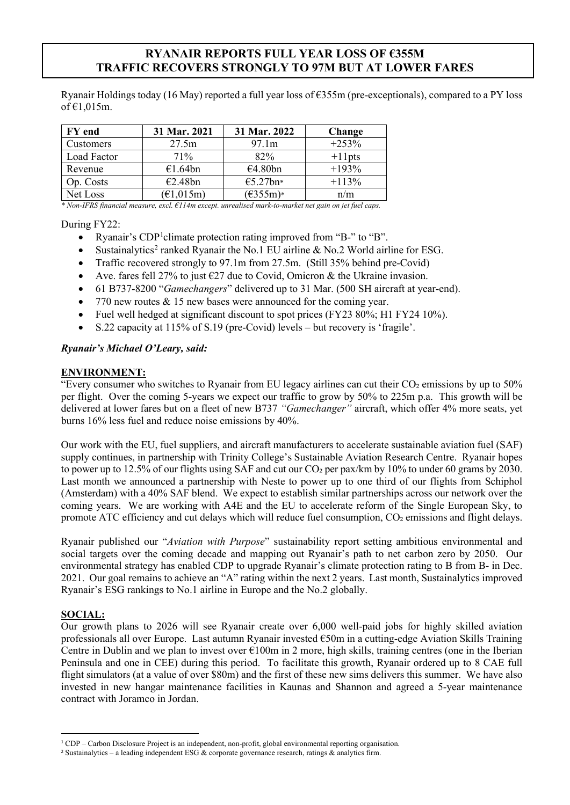# **RYANAIR REPORTS FULL YEAR LOSS OF €355M TRAFFIC RECOVERS STRONGLY TO 97M BUT AT LOWER FARES**

Ryanair Holdings today (16 May) reported a full year loss of €355m (pre-exceptionals), compared to a PY loss of  $€1,015$ m.

| FY end      | 31 Mar. 2021                          | 31 Mar. 2022       | Change    |
|-------------|---------------------------------------|--------------------|-----------|
| Customers   | 27.5m                                 | 97.1m              | $+253%$   |
| Load Factor | 71%                                   | 82%                | $+11$ pts |
| Revenue     | €1.64bn                               | €4.80bn            | $+193%$   |
| Op. Costs   | €2.48bn                               | €5.27bn*           | $+113%$   |
| Net Loss    | $(\text{\textsterling}1,015\text{m})$ | $(\epsilon$ 355m)* | n/m       |

*\* Non-IFRS financial measure, excl. €114m except. unrealised mark-to-market net gain on jet fuel caps.*

During FY22:

- Ryanair's CDP<sup>[1](#page-0-0)</sup>climate protection rating improved from "B-" to "B".
- Sustainalytics<sup>[2](#page-0-1)</sup> ranked Ryanair the No.1 EU airline  $\&$  No.2 World airline for ESG.
- Traffic recovered strongly to 97.1m from 27.5m. (Still 35% behind pre-Covid)
- Ave. fares fell 27% to just  $\epsilon$ 27 due to Covid, Omicron & the Ukraine invasion.
- 61 B737-8200 "*Gamechangers*" delivered up to 31 Mar. (500 SH aircraft at year-end).
- 770 new routes  $& 15$  new bases were announced for the coming year.
- Fuel well hedged at significant discount to spot prices (FY23 80%; H1 FY24 10%).
- S.22 capacity at 115% of S.19 (pre-Covid) levels but recovery is 'fragile'.

## *Ryanair's Michael O'Leary, said:*

## **ENVIRONMENT:**

"Every consumer who switches to Ryanair from EU legacy airlines can cut their  $CO<sub>2</sub>$  emissions by up to 50% per flight. Over the coming 5-years we expect our traffic to grow by 50% to 225m p.a. This growth will be delivered at lower fares but on a fleet of new B737 *"Gamechanger"* aircraft, which offer 4% more seats, yet burns 16% less fuel and reduce noise emissions by 40%.

Our work with the EU, fuel suppliers, and aircraft manufacturers to accelerate sustainable aviation fuel (SAF) supply continues, in partnership with Trinity College's Sustainable Aviation Research Centre. Ryanair hopes to power up to 12.5% of our flights using SAF and cut our CO<sub>2</sub> per pax/km by 10% to under 60 grams by 2030. Last month we announced a partnership with Neste to power up to one third of our flights from Schiphol (Amsterdam) with a 40% SAF blend. We expect to establish similar partnerships across our network over the coming years. We are working with A4E and the EU to accelerate reform of the Single European Sky, to promote ATC efficiency and cut delays which will reduce fuel consumption, CO<sub>2</sub> emissions and flight delays.

Ryanair published our "*Aviation with Purpose*" sustainability report setting ambitious environmental and social targets over the coming decade and mapping out Ryanair's path to net carbon zero by 2050. Our environmental strategy has enabled CDP to upgrade Ryanair's climate protection rating to B from B- in Dec. 2021. Our goal remains to achieve an "A" rating within the next 2 years. Last month, Sustainalytics improved Ryanair's ESG rankings to No.1 airline in Europe and the No.2 globally.

## **SOCIAL:**

Our growth plans to 2026 will see Ryanair create over 6,000 well-paid jobs for highly skilled aviation professionals all over Europe. Last autumn Ryanair invested €50m in a cutting-edge Aviation Skills Training Centre in Dublin and we plan to invest over  $\epsilon$ 100m in 2 more, high skills, training centres (one in the Iberian Peninsula and one in CEE) during this period. To facilitate this growth, Ryanair ordered up to 8 CAE full flight simulators (at a value of over \$80m) and the first of these new sims delivers this summer. We have also invested in new hangar maintenance facilities in Kaunas and Shannon and agreed a 5-year maintenance contract with Joramco in Jordan.

<span id="page-0-0"></span><sup>1</sup> CDP – Carbon Disclosure Project is an independent, non-profit, global environmental reporting organisation.

<span id="page-0-1"></span><sup>2</sup> Sustainalytics – a leading independent ESG & corporate governance research, ratings & analytics firm.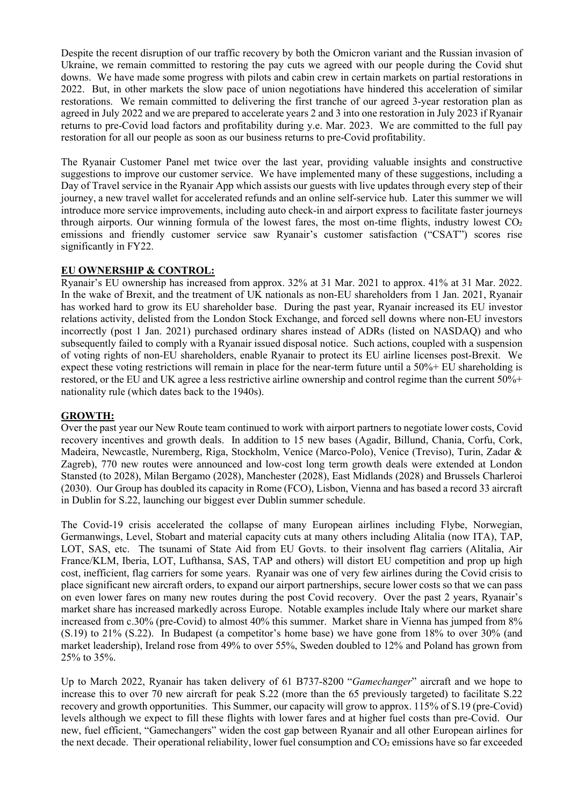Despite the recent disruption of our traffic recovery by both the Omicron variant and the Russian invasion of Ukraine, we remain committed to restoring the pay cuts we agreed with our people during the Covid shut downs. We have made some progress with pilots and cabin crew in certain markets on partial restorations in 2022. But, in other markets the slow pace of union negotiations have hindered this acceleration of similar restorations. We remain committed to delivering the first tranche of our agreed 3-year restoration plan as agreed in July 2022 and we are prepared to accelerate years 2 and 3 into one restoration in July 2023 if Ryanair returns to pre-Covid load factors and profitability during y.e. Mar. 2023. We are committed to the full pay restoration for all our people as soon as our business returns to pre-Covid profitability.

The Ryanair Customer Panel met twice over the last year, providing valuable insights and constructive suggestions to improve our customer service. We have implemented many of these suggestions, including a Day of Travel service in the Ryanair App which assists our guests with live updates through every step of their journey, a new travel wallet for accelerated refunds and an online self-service hub. Later this summer we will introduce more service improvements, including auto check-in and airport express to facilitate faster journeys through airports. Our winning formula of the lowest fares, the most on-time flights, industry lowest  $CO<sub>2</sub>$ emissions and friendly customer service saw Ryanair's customer satisfaction ("CSAT") scores rise significantly in FY22.

## **EU OWNERSHIP & CONTROL:**

Ryanair's EU ownership has increased from approx. 32% at 31 Mar. 2021 to approx. 41% at 31 Mar. 2022. In the wake of Brexit, and the treatment of UK nationals as non-EU shareholders from 1 Jan. 2021, Ryanair has worked hard to grow its EU shareholder base. During the past year, Ryanair increased its EU investor relations activity, delisted from the London Stock Exchange, and forced sell downs where non-EU investors incorrectly (post 1 Jan. 2021) purchased ordinary shares instead of ADRs (listed on NASDAQ) and who subsequently failed to comply with a Ryanair issued disposal notice. Such actions, coupled with a suspension of voting rights of non-EU shareholders, enable Ryanair to protect its EU airline licenses post-Brexit. We expect these voting restrictions will remain in place for the near-term future until a 50%+ EU shareholding is restored, or the EU and UK agree a less restrictive airline ownership and control regime than the current 50%+ nationality rule (which dates back to the 1940s).

# **GROWTH:**

Over the past year our New Route team continued to work with airport partners to negotiate lower costs, Covid recovery incentives and growth deals. In addition to 15 new bases (Agadir, Billund, Chania, Corfu, Cork, Madeira, Newcastle, Nuremberg, Riga, Stockholm, Venice (Marco-Polo), Venice (Treviso), Turin, Zadar & Zagreb), 770 new routes were announced and low-cost long term growth deals were extended at London Stansted (to 2028), Milan Bergamo (2028), Manchester (2028), East Midlands (2028) and Brussels Charleroi (2030). Our Group has doubled its capacity in Rome (FCO), Lisbon, Vienna and has based a record 33 aircraft in Dublin for S.22, launching our biggest ever Dublin summer schedule.

The Covid-19 crisis accelerated the collapse of many European airlines including Flybe, Norwegian, Germanwings, Level, Stobart and material capacity cuts at many others including Alitalia (now ITA), TAP, LOT, SAS, etc. The tsunami of State Aid from EU Govts. to their insolvent flag carriers (Alitalia, Air France/KLM, Iberia, LOT, Lufthansa, SAS, TAP and others) will distort EU competition and prop up high cost, inefficient, flag carriers for some years. Ryanair was one of very few airlines during the Covid crisis to place significant new aircraft orders, to expand our airport partnerships, secure lower costs so that we can pass on even lower fares on many new routes during the post Covid recovery. Over the past 2 years, Ryanair's market share has increased markedly across Europe. Notable examples include Italy where our market share increased from c.30% (pre-Covid) to almost 40% this summer. Market share in Vienna has jumped from 8% (S.19) to 21% (S.22). In Budapest (a competitor's home base) we have gone from 18% to over 30% (and market leadership), Ireland rose from 49% to over 55%, Sweden doubled to 12% and Poland has grown from 25% to 35%.

Up to March 2022, Ryanair has taken delivery of 61 B737-8200 "*Gamechanger*" aircraft and we hope to increase this to over 70 new aircraft for peak S.22 (more than the 65 previously targeted) to facilitate S.22 recovery and growth opportunities. This Summer, our capacity will grow to approx. 115% of S.19 (pre-Covid) levels although we expect to fill these flights with lower fares and at higher fuel costs than pre-Covid. Our new, fuel efficient, "Gamechangers" widen the cost gap between Ryanair and all other European airlines for the next decade. Their operational reliability, lower fuel consumption and CO2 emissions have so far exceeded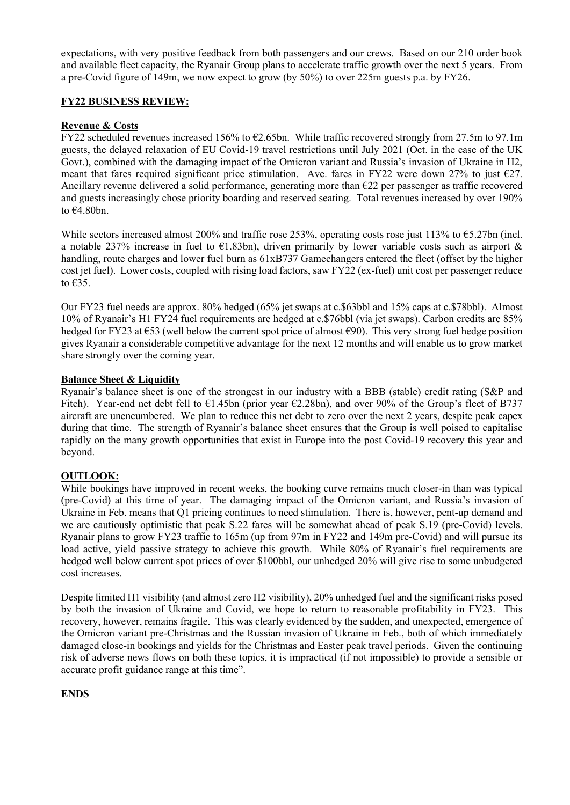expectations, with very positive feedback from both passengers and our crews. Based on our 210 order book and available fleet capacity, the Ryanair Group plans to accelerate traffic growth over the next 5 years. From a pre-Covid figure of 149m, we now expect to grow (by 50%) to over 225m guests p.a. by FY26.

## **FY22 BUSINESS REVIEW:**

## **Revenue & Costs**

FY22 scheduled revenues increased 156% to  $\epsilon$ 2.65bn. While traffic recovered strongly from 27.5m to 97.1m guests, the delayed relaxation of EU Covid-19 travel restrictions until July 2021 (Oct. in the case of the UK Govt.), combined with the damaging impact of the Omicron variant and Russia's invasion of Ukraine in H2, meant that fares required significant price stimulation. Ave. fares in FY22 were down 27% to just  $\epsilon$ 27. Ancillary revenue delivered a solid performance, generating more than  $E22$  per passenger as traffic recovered and guests increasingly chose priority boarding and reserved seating. Total revenues increased by over 190% to  $€4.80$ bn.

While sectors increased almost 200% and traffic rose 253%, operating costs rose just 113% to €5.27bn (incl. a notable 237% increase in fuel to  $E1.83$ bn), driven primarily by lower variable costs such as airport & handling, route charges and lower fuel burn as  $61xB737$  Gamechangers entered the fleet (offset by the higher cost jet fuel). Lower costs, coupled with rising load factors, saw FY22 (ex-fuel) unit cost per passenger reduce to €35.

Our FY23 fuel needs are approx. 80% hedged (65% jet swaps at c.\$63bbl and 15% caps at c.\$78bbl). Almost 10% of Ryanair's H1 FY24 fuel requirements are hedged at c.\$76bbl (via jet swaps). Carbon credits are 85% hedged for FY23 at €53 (well below the current spot price of almost €90). This very strong fuel hedge position gives Ryanair a considerable competitive advantage for the next 12 months and will enable us to grow market share strongly over the coming year.

## **Balance Sheet & Liquidity**

Ryanair's balance sheet is one of the strongest in our industry with a BBB (stable) credit rating (S&P and Fitch). Year-end net debt fell to  $\epsilon$ 1.45bn (prior year  $\epsilon$ 2.28bn), and over 90% of the Group's fleet of B737 aircraft are unencumbered. We plan to reduce this net debt to zero over the next 2 years, despite peak capex during that time. The strength of Ryanair's balance sheet ensures that the Group is well poised to capitalise rapidly on the many growth opportunities that exist in Europe into the post Covid-19 recovery this year and beyond.

# **OUTLOOK:**

While bookings have improved in recent weeks, the booking curve remains much closer-in than was typical (pre-Covid) at this time of year. The damaging impact of the Omicron variant, and Russia's invasion of Ukraine in Feb. means that Q1 pricing continues to need stimulation. There is, however, pent-up demand and we are cautiously optimistic that peak S.22 fares will be somewhat ahead of peak S.19 (pre-Covid) levels. Ryanair plans to grow FY23 traffic to 165m (up from 97m in FY22 and 149m pre-Covid) and will pursue its load active, yield passive strategy to achieve this growth. While 80% of Ryanair's fuel requirements are hedged well below current spot prices of over \$100bbl, our unhedged 20% will give rise to some unbudgeted cost increases.

Despite limited H1 visibility (and almost zero H2 visibility), 20% unhedged fuel and the significant risks posed by both the invasion of Ukraine and Covid, we hope to return to reasonable profitability in FY23. This recovery, however, remains fragile. This was clearly evidenced by the sudden, and unexpected, emergence of the Omicron variant pre-Christmas and the Russian invasion of Ukraine in Feb., both of which immediately damaged close-in bookings and yields for the Christmas and Easter peak travel periods. Given the continuing risk of adverse news flows on both these topics, it is impractical (if not impossible) to provide a sensible or accurate profit guidance range at this time".

# **ENDS**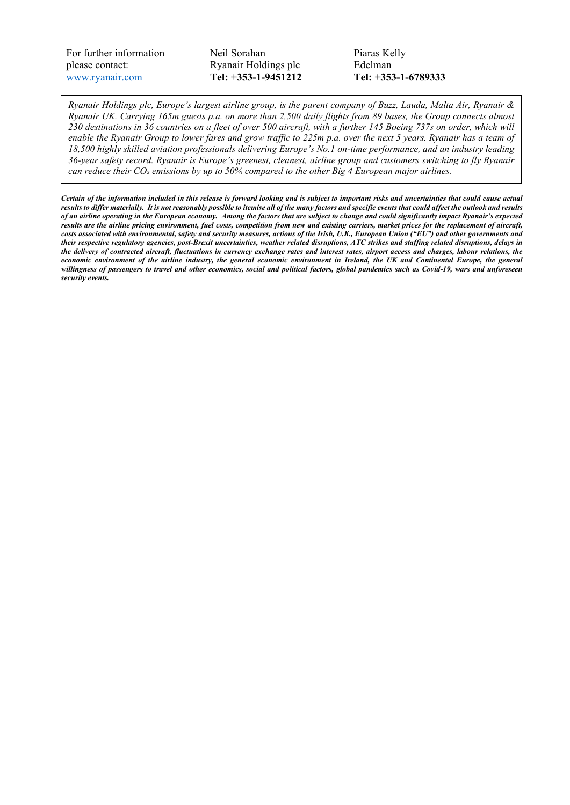For further information please contact: [www.ryanair.com](http://www.ryanair.com/) 

Neil Sorahan Ryanair Holdings plc **Tel: +353-1-9451212**  Piaras Kelly Edelman **Tel: +353-1-6789333** 

*Ryanair Holdings plc, Europe's largest airline group, is the parent company of Buzz, Lauda, Malta Air, Ryanair & Ryanair UK. Carrying 165m guests p.a. on more than 2,500 daily flights from 89 bases, the Group connects almost 230 destinations in 36 countries on a fleet of over 500 aircraft, with a further 145 Boeing 737s on order, which will enable the Ryanair Group to lower fares and grow traffic to 225m p.a. over the next 5 years. Ryanair has a team of 18,500 highly skilled aviation professionals delivering Europe's No.1 on-time performance, and an industry leading 36-year safety record. Ryanair is Europe's greenest, cleanest, airline group and customers switching to fly Ryanair can reduce their CO₂ emissions by up to 50% compared to the other Big 4 European major airlines.*

*Certain of the information included in this release is forward looking and is subject to important risks and uncertainties that could cause actual results to differ materially. It is not reasonably possible to itemise all of the many factors and specific events that could affect the outlook and results of an airline operating in the European economy. Among the factors that are subject to change and could significantly impact Ryanair's expected results are the airline pricing environment, fuel costs, competition from new and existing carriers, market prices for the replacement of aircraft, costs associated with environmental, safety and security measures, actions of the Irish, U.K., European Union ("EU") and other governments and their respective regulatory agencies, post-Brexit uncertainties, weather related disruptions, ATC strikes and staffing related disruptions, delays in the delivery of contracted aircraft, fluctuations in currency exchange rates and interest rates, airport access and charges, labour relations, the economic environment of the airline industry, the general economic environment in Ireland, the UK and Continental Europe, the general willingness of passengers to travel and other economics, social and political factors, global pandemics such as Covid-19, wars and unforeseen security events.*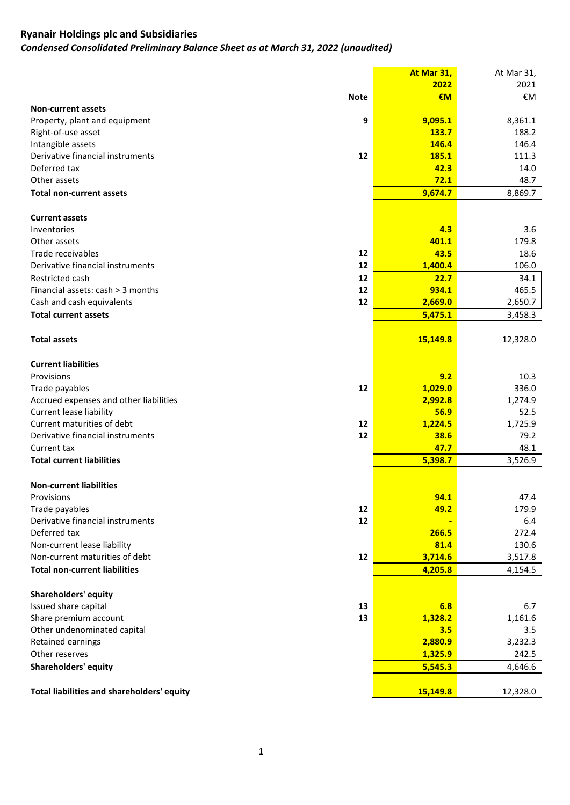*Condensed Consolidated Preliminary Balance Sheet as at March 31, 2022 (unaudited)*

|                                            | At Mar 31, | At Mar 31, |
|--------------------------------------------|------------|------------|
|                                            | 2022       | 2021       |
| <b>Note</b>                                | €M         | <u>€M</u>  |
| <b>Non-current assets</b>                  |            |            |
| 9<br>Property, plant and equipment         | 9,095.1    | 8,361.1    |
| Right-of-use asset                         | 133.7      | 188.2      |
| Intangible assets                          | 146.4      | 146.4      |
| Derivative financial instruments<br>12     | 185.1      | 111.3      |
| Deferred tax                               | 42.3       | 14.0       |
| Other assets                               | 72.1       | 48.7       |
| <b>Total non-current assets</b>            | 9,674.7    | 8,869.7    |
| <b>Current assets</b>                      |            |            |
| Inventories                                | 4.3        | 3.6        |
| Other assets                               | 401.1      | 179.8      |
| 12<br>Trade receivables                    | 43.5       | 18.6       |
| Derivative financial instruments<br>12     | 1,400.4    | 106.0      |
| 12<br>Restricted cash                      | 22.7       | 34.1       |
| Financial assets: cash > 3 months<br>12    | 934.1      | 465.5      |
| Cash and cash equivalents<br>12            | 2,669.0    | 2,650.7    |
| <b>Total current assets</b>                |            |            |
|                                            | 5,475.1    | 3,458.3    |
| <b>Total assets</b>                        | 15,149.8   | 12,328.0   |
| <b>Current liabilities</b>                 |            |            |
| Provisions                                 | 9.2        | 10.3       |
| Trade payables<br>12                       | 1,029.0    | 336.0      |
| Accrued expenses and other liabilities     | 2,992.8    | 1,274.9    |
| <b>Current lease liability</b>             | 56.9       | 52.5       |
| Current maturities of debt<br>12           | 1,224.5    | 1,725.9    |
| Derivative financial instruments<br>12     | 38.6       | 79.2       |
| Current tax                                | 47.7       | 48.1       |
| <b>Total current liabilities</b>           | 5,398.7    | 3,526.9    |
|                                            |            |            |
| <b>Non-current liabilities</b>             |            |            |
| Provisions                                 | 94.1       | 47.4       |
| Trade payables<br>12                       | 49.2       | 179.9      |
| Derivative financial instruments<br>12     |            | 6.4        |
| Deferred tax                               | 266.5      | 272.4      |
| Non-current lease liability                | 81.4       | 130.6      |
| Non-current maturities of debt<br>12       | 3,714.6    | 3,517.8    |
| <b>Total non-current liabilities</b>       | 4,205.8    | 4,154.5    |
| <b>Shareholders' equity</b>                |            |            |
| Issued share capital<br>13                 | 6.8        | 6.7        |
| Share premium account<br>13                | 1,328.2    | 1,161.6    |
| Other undenominated capital                | 3.5        | 3.5        |
| Retained earnings                          | 2,880.9    | 3,232.3    |
| Other reserves                             | 1,325.9    | 242.5      |
| <b>Shareholders' equity</b>                | 5,545.3    | 4,646.6    |
|                                            |            |            |
| Total liabilities and shareholders' equity | 15,149.8   | 12,328.0   |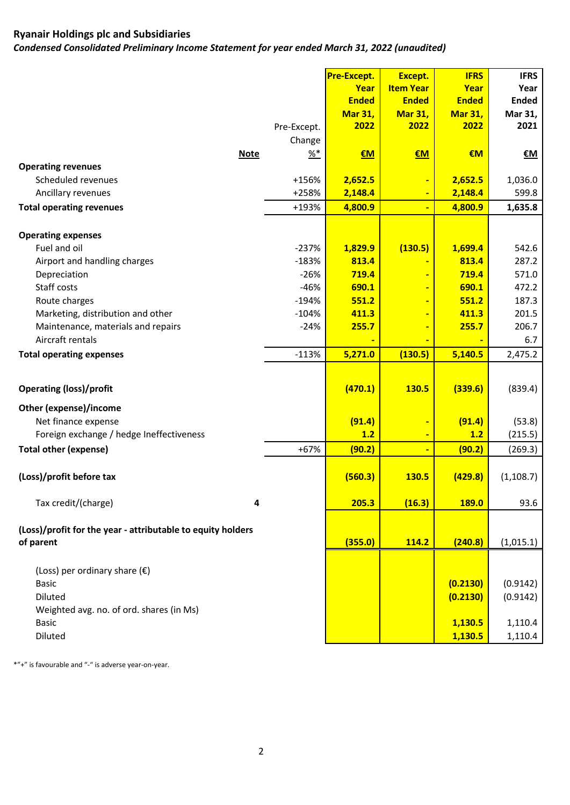*Condensed Consolidated Preliminary Income Statement for year ended March 31, 2022 (unaudited)*

| <b>Item Year</b><br>Year<br>Year<br>Year<br><b>Ended</b><br><b>Ended</b><br><b>Ended</b><br><b>Ended</b><br><b>Mar 31,</b><br><b>Mar 31,</b><br><b>Mar 31,</b><br>Mar 31,<br>2021<br>2022<br>2022<br>2022<br>Pre-Except.<br>Change<br>$\frac{96*}{6}$<br>€M<br><b>Note</b><br>$1$<br>EM<br><u>€M</u><br><b>Operating revenues</b><br>Scheduled revenues<br>$+156%$<br>2,652.5<br>2,652.5<br>1,036.0<br>٠<br>599.8<br>Ancillary revenues<br>+258%<br>2,148.4<br>2,148.4<br>٠<br>4,800.9<br><b>Total operating revenues</b><br>+193%<br>4,800.9<br>1,635.8<br>$\blacksquare$<br><b>Operating expenses</b><br>Fuel and oil<br>$-237%$<br>1,829.9<br>(130.5)<br>1,699.4<br>542.6<br>$-183%$<br>813.4<br>287.2<br>Airport and handling charges<br>813.4<br>$\blacksquare$<br>$-26%$<br>719.4<br>719.4<br>571.0<br>Depreciation<br>$\blacksquare$<br>Staff costs<br>$-46%$<br>690.1<br>690.1<br>472.2<br>$\blacksquare$<br>$-194%$<br>187.3<br>Route charges<br>551.2<br>551.2<br>$\blacksquare$<br>Marketing, distribution and other<br>$-104%$<br>411.3<br>411.3<br>201.5<br>206.7<br>Maintenance, materials and repairs<br>$-24%$<br>255.7<br>255.7<br>$\blacksquare$<br>Aircraft rentals<br>6.7<br>$-113%$<br>(130.5)<br>5,140.5<br><b>Total operating expenses</b><br>5,271.0<br>2,475.2<br>(470.1)<br><b>Operating (loss)/profit</b><br>130.5<br>(339.6)<br>(839.4)<br>Other (expense)/income<br>(91.4)<br>(91.4)<br>(53.8)<br>Net finance expense<br>÷<br>1.2<br>Foreign exchange / hedge Ineffectiveness<br>1.2<br>(215.5)<br>÷<br><b>Total other (expense)</b><br>$+67%$<br>(90.2)<br>(90.2)<br>(269.3)<br>(Loss)/profit before tax<br>(560.3)<br><b>130.5</b><br>(429.8)<br>(1, 108.7)<br>Tax credit/(charge)<br>205.3<br>(16.3)<br>4<br><b>189.0</b><br>93.6<br>(Loss)/profit for the year - attributable to equity holders<br>(355.0)<br>of parent<br>114.2<br>(240.8)<br>(1,015.1)<br>(Loss) per ordinary share $(\epsilon)$<br>(0.2130)<br>(0.9142)<br><b>Basic</b><br>Diluted<br>(0.2130)<br>(0.9142)<br>Weighted avg. no. of ord. shares (in Ms)<br>1,110.4<br><b>Basic</b><br>1,130.5<br>Diluted<br>1,130.5<br>1,110.4 |  | <b>Pre-Except.</b> | Except. | <b>IFRS</b> | <b>IFRS</b> |
|-----------------------------------------------------------------------------------------------------------------------------------------------------------------------------------------------------------------------------------------------------------------------------------------------------------------------------------------------------------------------------------------------------------------------------------------------------------------------------------------------------------------------------------------------------------------------------------------------------------------------------------------------------------------------------------------------------------------------------------------------------------------------------------------------------------------------------------------------------------------------------------------------------------------------------------------------------------------------------------------------------------------------------------------------------------------------------------------------------------------------------------------------------------------------------------------------------------------------------------------------------------------------------------------------------------------------------------------------------------------------------------------------------------------------------------------------------------------------------------------------------------------------------------------------------------------------------------------------------------------------------------------------------------------------------------------------------------------------------------------------------------------------------------------------------------------------------------------------------------------------------------------------------------------------------------------------------------------------------------------------------------------------------------------------------------------------------------------------------------------------------------|--|--------------------|---------|-------------|-------------|
|                                                                                                                                                                                                                                                                                                                                                                                                                                                                                                                                                                                                                                                                                                                                                                                                                                                                                                                                                                                                                                                                                                                                                                                                                                                                                                                                                                                                                                                                                                                                                                                                                                                                                                                                                                                                                                                                                                                                                                                                                                                                                                                                   |  |                    |         |             |             |
|                                                                                                                                                                                                                                                                                                                                                                                                                                                                                                                                                                                                                                                                                                                                                                                                                                                                                                                                                                                                                                                                                                                                                                                                                                                                                                                                                                                                                                                                                                                                                                                                                                                                                                                                                                                                                                                                                                                                                                                                                                                                                                                                   |  |                    |         |             |             |
|                                                                                                                                                                                                                                                                                                                                                                                                                                                                                                                                                                                                                                                                                                                                                                                                                                                                                                                                                                                                                                                                                                                                                                                                                                                                                                                                                                                                                                                                                                                                                                                                                                                                                                                                                                                                                                                                                                                                                                                                                                                                                                                                   |  |                    |         |             |             |
|                                                                                                                                                                                                                                                                                                                                                                                                                                                                                                                                                                                                                                                                                                                                                                                                                                                                                                                                                                                                                                                                                                                                                                                                                                                                                                                                                                                                                                                                                                                                                                                                                                                                                                                                                                                                                                                                                                                                                                                                                                                                                                                                   |  |                    |         |             |             |
|                                                                                                                                                                                                                                                                                                                                                                                                                                                                                                                                                                                                                                                                                                                                                                                                                                                                                                                                                                                                                                                                                                                                                                                                                                                                                                                                                                                                                                                                                                                                                                                                                                                                                                                                                                                                                                                                                                                                                                                                                                                                                                                                   |  |                    |         |             |             |
|                                                                                                                                                                                                                                                                                                                                                                                                                                                                                                                                                                                                                                                                                                                                                                                                                                                                                                                                                                                                                                                                                                                                                                                                                                                                                                                                                                                                                                                                                                                                                                                                                                                                                                                                                                                                                                                                                                                                                                                                                                                                                                                                   |  |                    |         |             |             |
|                                                                                                                                                                                                                                                                                                                                                                                                                                                                                                                                                                                                                                                                                                                                                                                                                                                                                                                                                                                                                                                                                                                                                                                                                                                                                                                                                                                                                                                                                                                                                                                                                                                                                                                                                                                                                                                                                                                                                                                                                                                                                                                                   |  |                    |         |             |             |
|                                                                                                                                                                                                                                                                                                                                                                                                                                                                                                                                                                                                                                                                                                                                                                                                                                                                                                                                                                                                                                                                                                                                                                                                                                                                                                                                                                                                                                                                                                                                                                                                                                                                                                                                                                                                                                                                                                                                                                                                                                                                                                                                   |  |                    |         |             |             |
|                                                                                                                                                                                                                                                                                                                                                                                                                                                                                                                                                                                                                                                                                                                                                                                                                                                                                                                                                                                                                                                                                                                                                                                                                                                                                                                                                                                                                                                                                                                                                                                                                                                                                                                                                                                                                                                                                                                                                                                                                                                                                                                                   |  |                    |         |             |             |
|                                                                                                                                                                                                                                                                                                                                                                                                                                                                                                                                                                                                                                                                                                                                                                                                                                                                                                                                                                                                                                                                                                                                                                                                                                                                                                                                                                                                                                                                                                                                                                                                                                                                                                                                                                                                                                                                                                                                                                                                                                                                                                                                   |  |                    |         |             |             |
|                                                                                                                                                                                                                                                                                                                                                                                                                                                                                                                                                                                                                                                                                                                                                                                                                                                                                                                                                                                                                                                                                                                                                                                                                                                                                                                                                                                                                                                                                                                                                                                                                                                                                                                                                                                                                                                                                                                                                                                                                                                                                                                                   |  |                    |         |             |             |
|                                                                                                                                                                                                                                                                                                                                                                                                                                                                                                                                                                                                                                                                                                                                                                                                                                                                                                                                                                                                                                                                                                                                                                                                                                                                                                                                                                                                                                                                                                                                                                                                                                                                                                                                                                                                                                                                                                                                                                                                                                                                                                                                   |  |                    |         |             |             |
|                                                                                                                                                                                                                                                                                                                                                                                                                                                                                                                                                                                                                                                                                                                                                                                                                                                                                                                                                                                                                                                                                                                                                                                                                                                                                                                                                                                                                                                                                                                                                                                                                                                                                                                                                                                                                                                                                                                                                                                                                                                                                                                                   |  |                    |         |             |             |
|                                                                                                                                                                                                                                                                                                                                                                                                                                                                                                                                                                                                                                                                                                                                                                                                                                                                                                                                                                                                                                                                                                                                                                                                                                                                                                                                                                                                                                                                                                                                                                                                                                                                                                                                                                                                                                                                                                                                                                                                                                                                                                                                   |  |                    |         |             |             |
|                                                                                                                                                                                                                                                                                                                                                                                                                                                                                                                                                                                                                                                                                                                                                                                                                                                                                                                                                                                                                                                                                                                                                                                                                                                                                                                                                                                                                                                                                                                                                                                                                                                                                                                                                                                                                                                                                                                                                                                                                                                                                                                                   |  |                    |         |             |             |
|                                                                                                                                                                                                                                                                                                                                                                                                                                                                                                                                                                                                                                                                                                                                                                                                                                                                                                                                                                                                                                                                                                                                                                                                                                                                                                                                                                                                                                                                                                                                                                                                                                                                                                                                                                                                                                                                                                                                                                                                                                                                                                                                   |  |                    |         |             |             |
|                                                                                                                                                                                                                                                                                                                                                                                                                                                                                                                                                                                                                                                                                                                                                                                                                                                                                                                                                                                                                                                                                                                                                                                                                                                                                                                                                                                                                                                                                                                                                                                                                                                                                                                                                                                                                                                                                                                                                                                                                                                                                                                                   |  |                    |         |             |             |
|                                                                                                                                                                                                                                                                                                                                                                                                                                                                                                                                                                                                                                                                                                                                                                                                                                                                                                                                                                                                                                                                                                                                                                                                                                                                                                                                                                                                                                                                                                                                                                                                                                                                                                                                                                                                                                                                                                                                                                                                                                                                                                                                   |  |                    |         |             |             |
|                                                                                                                                                                                                                                                                                                                                                                                                                                                                                                                                                                                                                                                                                                                                                                                                                                                                                                                                                                                                                                                                                                                                                                                                                                                                                                                                                                                                                                                                                                                                                                                                                                                                                                                                                                                                                                                                                                                                                                                                                                                                                                                                   |  |                    |         |             |             |
|                                                                                                                                                                                                                                                                                                                                                                                                                                                                                                                                                                                                                                                                                                                                                                                                                                                                                                                                                                                                                                                                                                                                                                                                                                                                                                                                                                                                                                                                                                                                                                                                                                                                                                                                                                                                                                                                                                                                                                                                                                                                                                                                   |  |                    |         |             |             |
|                                                                                                                                                                                                                                                                                                                                                                                                                                                                                                                                                                                                                                                                                                                                                                                                                                                                                                                                                                                                                                                                                                                                                                                                                                                                                                                                                                                                                                                                                                                                                                                                                                                                                                                                                                                                                                                                                                                                                                                                                                                                                                                                   |  |                    |         |             |             |
|                                                                                                                                                                                                                                                                                                                                                                                                                                                                                                                                                                                                                                                                                                                                                                                                                                                                                                                                                                                                                                                                                                                                                                                                                                                                                                                                                                                                                                                                                                                                                                                                                                                                                                                                                                                                                                                                                                                                                                                                                                                                                                                                   |  |                    |         |             |             |
|                                                                                                                                                                                                                                                                                                                                                                                                                                                                                                                                                                                                                                                                                                                                                                                                                                                                                                                                                                                                                                                                                                                                                                                                                                                                                                                                                                                                                                                                                                                                                                                                                                                                                                                                                                                                                                                                                                                                                                                                                                                                                                                                   |  |                    |         |             |             |
|                                                                                                                                                                                                                                                                                                                                                                                                                                                                                                                                                                                                                                                                                                                                                                                                                                                                                                                                                                                                                                                                                                                                                                                                                                                                                                                                                                                                                                                                                                                                                                                                                                                                                                                                                                                                                                                                                                                                                                                                                                                                                                                                   |  |                    |         |             |             |
|                                                                                                                                                                                                                                                                                                                                                                                                                                                                                                                                                                                                                                                                                                                                                                                                                                                                                                                                                                                                                                                                                                                                                                                                                                                                                                                                                                                                                                                                                                                                                                                                                                                                                                                                                                                                                                                                                                                                                                                                                                                                                                                                   |  |                    |         |             |             |
|                                                                                                                                                                                                                                                                                                                                                                                                                                                                                                                                                                                                                                                                                                                                                                                                                                                                                                                                                                                                                                                                                                                                                                                                                                                                                                                                                                                                                                                                                                                                                                                                                                                                                                                                                                                                                                                                                                                                                                                                                                                                                                                                   |  |                    |         |             |             |
|                                                                                                                                                                                                                                                                                                                                                                                                                                                                                                                                                                                                                                                                                                                                                                                                                                                                                                                                                                                                                                                                                                                                                                                                                                                                                                                                                                                                                                                                                                                                                                                                                                                                                                                                                                                                                                                                                                                                                                                                                                                                                                                                   |  |                    |         |             |             |
|                                                                                                                                                                                                                                                                                                                                                                                                                                                                                                                                                                                                                                                                                                                                                                                                                                                                                                                                                                                                                                                                                                                                                                                                                                                                                                                                                                                                                                                                                                                                                                                                                                                                                                                                                                                                                                                                                                                                                                                                                                                                                                                                   |  |                    |         |             |             |
|                                                                                                                                                                                                                                                                                                                                                                                                                                                                                                                                                                                                                                                                                                                                                                                                                                                                                                                                                                                                                                                                                                                                                                                                                                                                                                                                                                                                                                                                                                                                                                                                                                                                                                                                                                                                                                                                                                                                                                                                                                                                                                                                   |  |                    |         |             |             |
|                                                                                                                                                                                                                                                                                                                                                                                                                                                                                                                                                                                                                                                                                                                                                                                                                                                                                                                                                                                                                                                                                                                                                                                                                                                                                                                                                                                                                                                                                                                                                                                                                                                                                                                                                                                                                                                                                                                                                                                                                                                                                                                                   |  |                    |         |             |             |
|                                                                                                                                                                                                                                                                                                                                                                                                                                                                                                                                                                                                                                                                                                                                                                                                                                                                                                                                                                                                                                                                                                                                                                                                                                                                                                                                                                                                                                                                                                                                                                                                                                                                                                                                                                                                                                                                                                                                                                                                                                                                                                                                   |  |                    |         |             |             |
|                                                                                                                                                                                                                                                                                                                                                                                                                                                                                                                                                                                                                                                                                                                                                                                                                                                                                                                                                                                                                                                                                                                                                                                                                                                                                                                                                                                                                                                                                                                                                                                                                                                                                                                                                                                                                                                                                                                                                                                                                                                                                                                                   |  |                    |         |             |             |
|                                                                                                                                                                                                                                                                                                                                                                                                                                                                                                                                                                                                                                                                                                                                                                                                                                                                                                                                                                                                                                                                                                                                                                                                                                                                                                                                                                                                                                                                                                                                                                                                                                                                                                                                                                                                                                                                                                                                                                                                                                                                                                                                   |  |                    |         |             |             |
|                                                                                                                                                                                                                                                                                                                                                                                                                                                                                                                                                                                                                                                                                                                                                                                                                                                                                                                                                                                                                                                                                                                                                                                                                                                                                                                                                                                                                                                                                                                                                                                                                                                                                                                                                                                                                                                                                                                                                                                                                                                                                                                                   |  |                    |         |             |             |
|                                                                                                                                                                                                                                                                                                                                                                                                                                                                                                                                                                                                                                                                                                                                                                                                                                                                                                                                                                                                                                                                                                                                                                                                                                                                                                                                                                                                                                                                                                                                                                                                                                                                                                                                                                                                                                                                                                                                                                                                                                                                                                                                   |  |                    |         |             |             |
|                                                                                                                                                                                                                                                                                                                                                                                                                                                                                                                                                                                                                                                                                                                                                                                                                                                                                                                                                                                                                                                                                                                                                                                                                                                                                                                                                                                                                                                                                                                                                                                                                                                                                                                                                                                                                                                                                                                                                                                                                                                                                                                                   |  |                    |         |             |             |
|                                                                                                                                                                                                                                                                                                                                                                                                                                                                                                                                                                                                                                                                                                                                                                                                                                                                                                                                                                                                                                                                                                                                                                                                                                                                                                                                                                                                                                                                                                                                                                                                                                                                                                                                                                                                                                                                                                                                                                                                                                                                                                                                   |  |                    |         |             |             |
|                                                                                                                                                                                                                                                                                                                                                                                                                                                                                                                                                                                                                                                                                                                                                                                                                                                                                                                                                                                                                                                                                                                                                                                                                                                                                                                                                                                                                                                                                                                                                                                                                                                                                                                                                                                                                                                                                                                                                                                                                                                                                                                                   |  |                    |         |             |             |
|                                                                                                                                                                                                                                                                                                                                                                                                                                                                                                                                                                                                                                                                                                                                                                                                                                                                                                                                                                                                                                                                                                                                                                                                                                                                                                                                                                                                                                                                                                                                                                                                                                                                                                                                                                                                                                                                                                                                                                                                                                                                                                                                   |  |                    |         |             |             |

\*"+" is favourable and "-" is adverse year-on-year.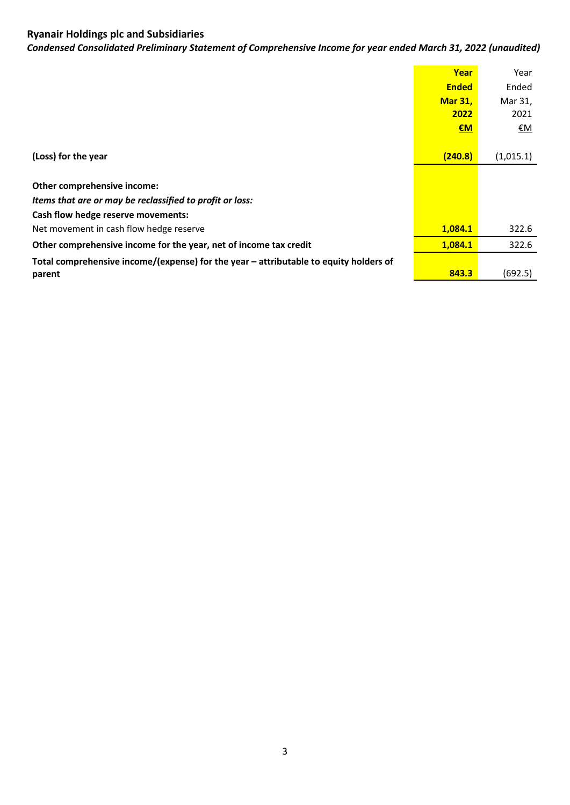*Condensed Consolidated Preliminary Statement of Comprehensive Income for year ended March 31, 2022 (unaudited)*

|                                                                                       | Year           | Year      |
|---------------------------------------------------------------------------------------|----------------|-----------|
|                                                                                       | <b>Ended</b>   | Ended     |
|                                                                                       | <b>Mar 31,</b> | Mar 31,   |
|                                                                                       | 2022           | 2021      |
|                                                                                       | EM             | <u>€M</u> |
|                                                                                       |                |           |
| (Loss) for the year                                                                   | (240.8)        | (1,015.1) |
|                                                                                       |                |           |
| Other comprehensive income:                                                           |                |           |
| Items that are or may be reclassified to profit or loss:                              |                |           |
| Cash flow hedge reserve movements:                                                    |                |           |
| Net movement in cash flow hedge reserve                                               | 1.084.1        | 322.6     |
| Other comprehensive income for the year, net of income tax credit                     | 1,084.1        | 322.6     |
| Total comprehensive income/(expense) for the year - attributable to equity holders of |                |           |
| parent                                                                                | 843.3          | (692.5)   |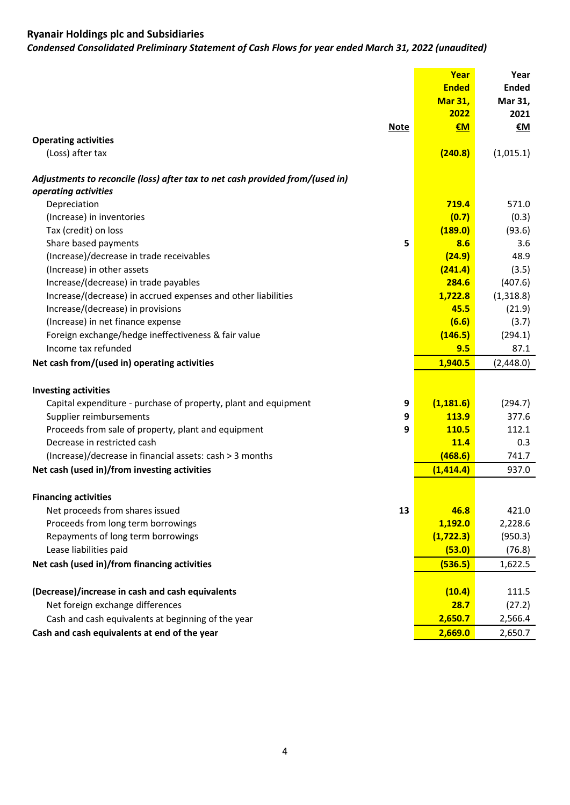*Condensed Consolidated Preliminary Statement of Cash Flows for year ended March 31, 2022 (unaudited)*

| €M<br>€M<br><b>Note</b><br><b>Operating activities</b><br>(Loss) after tax<br>(240.8)<br>(1,015.1)<br>Adjustments to reconcile (loss) after tax to net cash provided from/(used in)<br>operating activities<br>Depreciation<br>719.4<br>571.0<br>(Increase) in inventories<br>(0.7)<br>(0.3)<br>Tax (credit) on loss<br>(189.0)<br>(93.6)<br>8.6<br>Share based payments<br>5<br>3.6<br>(Increase)/decrease in trade receivables<br>(24.9)<br>48.9<br>(Increase) in other assets<br>(241.4)<br>(3.5)<br>Increase/(decrease) in trade payables<br>284.6<br>(407.6)<br>Increase/(decrease) in accrued expenses and other liabilities<br>1,722.8<br>(1,318.8)<br>Increase/(decrease) in provisions<br>45.5<br>(21.9)<br>(Increase) in net finance expense<br>(6.6)<br>(3.7)<br>Foreign exchange/hedge ineffectiveness & fair value<br>(146.5)<br>(294.1)<br>Income tax refunded<br>9.5<br>87.1<br>1,940.5<br>(2,448.0)<br>Net cash from/(used in) operating activities<br><b>Investing activities</b><br>9<br>(1, 181.6)<br>(294.7)<br>Capital expenditure - purchase of property, plant and equipment<br>377.6<br>Supplier reimbursements<br>9<br><b>113.9</b><br>Proceeds from sale of property, plant and equipment<br>9<br>110.5<br>112.1<br>Decrease in restricted cash<br><b>11.4</b><br>0.3<br>(468.6)<br>(Increase)/decrease in financial assets: cash > 3 months<br>741.7<br>Net cash (used in)/from investing activities<br>(1, 414.4)<br>937.0<br><b>Financing activities</b><br>Net proceeds from shares issued<br>13<br>46.8<br>421.0<br>Proceeds from long term borrowings<br>1,192.0<br>2,228.6<br>Repayments of long term borrowings<br>(1, 722.3)<br>(950.3)<br>Lease liabilities paid<br>(76.8)<br>(53.0)<br>Net cash (used in)/from financing activities<br>(536.5)<br>1,622.5<br>(Decrease)/increase in cash and cash equivalents<br>(10.4)<br>111.5<br>Net foreign exchange differences<br>28.7<br>(27.2)<br>2,650.7<br>2,566.4<br>Cash and cash equivalents at beginning of the year<br>Cash and cash equivalents at end of the year<br>2,669.0<br>2,650.7 |  | Year<br><b>Ended</b><br><b>Mar 31,</b><br>2022 | Year<br><b>Ended</b><br>Mar 31,<br>2021 |
|-------------------------------------------------------------------------------------------------------------------------------------------------------------------------------------------------------------------------------------------------------------------------------------------------------------------------------------------------------------------------------------------------------------------------------------------------------------------------------------------------------------------------------------------------------------------------------------------------------------------------------------------------------------------------------------------------------------------------------------------------------------------------------------------------------------------------------------------------------------------------------------------------------------------------------------------------------------------------------------------------------------------------------------------------------------------------------------------------------------------------------------------------------------------------------------------------------------------------------------------------------------------------------------------------------------------------------------------------------------------------------------------------------------------------------------------------------------------------------------------------------------------------------------------------------------------------------------------------------------------------------------------------------------------------------------------------------------------------------------------------------------------------------------------------------------------------------------------------------------------------------------------------------------------------------------------------------------------------------------------------------------------------------------------------------------------------------|--|------------------------------------------------|-----------------------------------------|
|                                                                                                                                                                                                                                                                                                                                                                                                                                                                                                                                                                                                                                                                                                                                                                                                                                                                                                                                                                                                                                                                                                                                                                                                                                                                                                                                                                                                                                                                                                                                                                                                                                                                                                                                                                                                                                                                                                                                                                                                                                                                               |  |                                                |                                         |
|                                                                                                                                                                                                                                                                                                                                                                                                                                                                                                                                                                                                                                                                                                                                                                                                                                                                                                                                                                                                                                                                                                                                                                                                                                                                                                                                                                                                                                                                                                                                                                                                                                                                                                                                                                                                                                                                                                                                                                                                                                                                               |  |                                                |                                         |
|                                                                                                                                                                                                                                                                                                                                                                                                                                                                                                                                                                                                                                                                                                                                                                                                                                                                                                                                                                                                                                                                                                                                                                                                                                                                                                                                                                                                                                                                                                                                                                                                                                                                                                                                                                                                                                                                                                                                                                                                                                                                               |  |                                                |                                         |
|                                                                                                                                                                                                                                                                                                                                                                                                                                                                                                                                                                                                                                                                                                                                                                                                                                                                                                                                                                                                                                                                                                                                                                                                                                                                                                                                                                                                                                                                                                                                                                                                                                                                                                                                                                                                                                                                                                                                                                                                                                                                               |  |                                                |                                         |
|                                                                                                                                                                                                                                                                                                                                                                                                                                                                                                                                                                                                                                                                                                                                                                                                                                                                                                                                                                                                                                                                                                                                                                                                                                                                                                                                                                                                                                                                                                                                                                                                                                                                                                                                                                                                                                                                                                                                                                                                                                                                               |  |                                                |                                         |
|                                                                                                                                                                                                                                                                                                                                                                                                                                                                                                                                                                                                                                                                                                                                                                                                                                                                                                                                                                                                                                                                                                                                                                                                                                                                                                                                                                                                                                                                                                                                                                                                                                                                                                                                                                                                                                                                                                                                                                                                                                                                               |  |                                                |                                         |
|                                                                                                                                                                                                                                                                                                                                                                                                                                                                                                                                                                                                                                                                                                                                                                                                                                                                                                                                                                                                                                                                                                                                                                                                                                                                                                                                                                                                                                                                                                                                                                                                                                                                                                                                                                                                                                                                                                                                                                                                                                                                               |  |                                                |                                         |
|                                                                                                                                                                                                                                                                                                                                                                                                                                                                                                                                                                                                                                                                                                                                                                                                                                                                                                                                                                                                                                                                                                                                                                                                                                                                                                                                                                                                                                                                                                                                                                                                                                                                                                                                                                                                                                                                                                                                                                                                                                                                               |  |                                                |                                         |
|                                                                                                                                                                                                                                                                                                                                                                                                                                                                                                                                                                                                                                                                                                                                                                                                                                                                                                                                                                                                                                                                                                                                                                                                                                                                                                                                                                                                                                                                                                                                                                                                                                                                                                                                                                                                                                                                                                                                                                                                                                                                               |  |                                                |                                         |
|                                                                                                                                                                                                                                                                                                                                                                                                                                                                                                                                                                                                                                                                                                                                                                                                                                                                                                                                                                                                                                                                                                                                                                                                                                                                                                                                                                                                                                                                                                                                                                                                                                                                                                                                                                                                                                                                                                                                                                                                                                                                               |  |                                                |                                         |
|                                                                                                                                                                                                                                                                                                                                                                                                                                                                                                                                                                                                                                                                                                                                                                                                                                                                                                                                                                                                                                                                                                                                                                                                                                                                                                                                                                                                                                                                                                                                                                                                                                                                                                                                                                                                                                                                                                                                                                                                                                                                               |  |                                                |                                         |
|                                                                                                                                                                                                                                                                                                                                                                                                                                                                                                                                                                                                                                                                                                                                                                                                                                                                                                                                                                                                                                                                                                                                                                                                                                                                                                                                                                                                                                                                                                                                                                                                                                                                                                                                                                                                                                                                                                                                                                                                                                                                               |  |                                                |                                         |
|                                                                                                                                                                                                                                                                                                                                                                                                                                                                                                                                                                                                                                                                                                                                                                                                                                                                                                                                                                                                                                                                                                                                                                                                                                                                                                                                                                                                                                                                                                                                                                                                                                                                                                                                                                                                                                                                                                                                                                                                                                                                               |  |                                                |                                         |
|                                                                                                                                                                                                                                                                                                                                                                                                                                                                                                                                                                                                                                                                                                                                                                                                                                                                                                                                                                                                                                                                                                                                                                                                                                                                                                                                                                                                                                                                                                                                                                                                                                                                                                                                                                                                                                                                                                                                                                                                                                                                               |  |                                                |                                         |
|                                                                                                                                                                                                                                                                                                                                                                                                                                                                                                                                                                                                                                                                                                                                                                                                                                                                                                                                                                                                                                                                                                                                                                                                                                                                                                                                                                                                                                                                                                                                                                                                                                                                                                                                                                                                                                                                                                                                                                                                                                                                               |  |                                                |                                         |
|                                                                                                                                                                                                                                                                                                                                                                                                                                                                                                                                                                                                                                                                                                                                                                                                                                                                                                                                                                                                                                                                                                                                                                                                                                                                                                                                                                                                                                                                                                                                                                                                                                                                                                                                                                                                                                                                                                                                                                                                                                                                               |  |                                                |                                         |
|                                                                                                                                                                                                                                                                                                                                                                                                                                                                                                                                                                                                                                                                                                                                                                                                                                                                                                                                                                                                                                                                                                                                                                                                                                                                                                                                                                                                                                                                                                                                                                                                                                                                                                                                                                                                                                                                                                                                                                                                                                                                               |  |                                                |                                         |
|                                                                                                                                                                                                                                                                                                                                                                                                                                                                                                                                                                                                                                                                                                                                                                                                                                                                                                                                                                                                                                                                                                                                                                                                                                                                                                                                                                                                                                                                                                                                                                                                                                                                                                                                                                                                                                                                                                                                                                                                                                                                               |  |                                                |                                         |
|                                                                                                                                                                                                                                                                                                                                                                                                                                                                                                                                                                                                                                                                                                                                                                                                                                                                                                                                                                                                                                                                                                                                                                                                                                                                                                                                                                                                                                                                                                                                                                                                                                                                                                                                                                                                                                                                                                                                                                                                                                                                               |  |                                                |                                         |
|                                                                                                                                                                                                                                                                                                                                                                                                                                                                                                                                                                                                                                                                                                                                                                                                                                                                                                                                                                                                                                                                                                                                                                                                                                                                                                                                                                                                                                                                                                                                                                                                                                                                                                                                                                                                                                                                                                                                                                                                                                                                               |  |                                                |                                         |
|                                                                                                                                                                                                                                                                                                                                                                                                                                                                                                                                                                                                                                                                                                                                                                                                                                                                                                                                                                                                                                                                                                                                                                                                                                                                                                                                                                                                                                                                                                                                                                                                                                                                                                                                                                                                                                                                                                                                                                                                                                                                               |  |                                                |                                         |
|                                                                                                                                                                                                                                                                                                                                                                                                                                                                                                                                                                                                                                                                                                                                                                                                                                                                                                                                                                                                                                                                                                                                                                                                                                                                                                                                                                                                                                                                                                                                                                                                                                                                                                                                                                                                                                                                                                                                                                                                                                                                               |  |                                                |                                         |
|                                                                                                                                                                                                                                                                                                                                                                                                                                                                                                                                                                                                                                                                                                                                                                                                                                                                                                                                                                                                                                                                                                                                                                                                                                                                                                                                                                                                                                                                                                                                                                                                                                                                                                                                                                                                                                                                                                                                                                                                                                                                               |  |                                                |                                         |
|                                                                                                                                                                                                                                                                                                                                                                                                                                                                                                                                                                                                                                                                                                                                                                                                                                                                                                                                                                                                                                                                                                                                                                                                                                                                                                                                                                                                                                                                                                                                                                                                                                                                                                                                                                                                                                                                                                                                                                                                                                                                               |  |                                                |                                         |
|                                                                                                                                                                                                                                                                                                                                                                                                                                                                                                                                                                                                                                                                                                                                                                                                                                                                                                                                                                                                                                                                                                                                                                                                                                                                                                                                                                                                                                                                                                                                                                                                                                                                                                                                                                                                                                                                                                                                                                                                                                                                               |  |                                                |                                         |
|                                                                                                                                                                                                                                                                                                                                                                                                                                                                                                                                                                                                                                                                                                                                                                                                                                                                                                                                                                                                                                                                                                                                                                                                                                                                                                                                                                                                                                                                                                                                                                                                                                                                                                                                                                                                                                                                                                                                                                                                                                                                               |  |                                                |                                         |
|                                                                                                                                                                                                                                                                                                                                                                                                                                                                                                                                                                                                                                                                                                                                                                                                                                                                                                                                                                                                                                                                                                                                                                                                                                                                                                                                                                                                                                                                                                                                                                                                                                                                                                                                                                                                                                                                                                                                                                                                                                                                               |  |                                                |                                         |
|                                                                                                                                                                                                                                                                                                                                                                                                                                                                                                                                                                                                                                                                                                                                                                                                                                                                                                                                                                                                                                                                                                                                                                                                                                                                                                                                                                                                                                                                                                                                                                                                                                                                                                                                                                                                                                                                                                                                                                                                                                                                               |  |                                                |                                         |
|                                                                                                                                                                                                                                                                                                                                                                                                                                                                                                                                                                                                                                                                                                                                                                                                                                                                                                                                                                                                                                                                                                                                                                                                                                                                                                                                                                                                                                                                                                                                                                                                                                                                                                                                                                                                                                                                                                                                                                                                                                                                               |  |                                                |                                         |
|                                                                                                                                                                                                                                                                                                                                                                                                                                                                                                                                                                                                                                                                                                                                                                                                                                                                                                                                                                                                                                                                                                                                                                                                                                                                                                                                                                                                                                                                                                                                                                                                                                                                                                                                                                                                                                                                                                                                                                                                                                                                               |  |                                                |                                         |
|                                                                                                                                                                                                                                                                                                                                                                                                                                                                                                                                                                                                                                                                                                                                                                                                                                                                                                                                                                                                                                                                                                                                                                                                                                                                                                                                                                                                                                                                                                                                                                                                                                                                                                                                                                                                                                                                                                                                                                                                                                                                               |  |                                                |                                         |
|                                                                                                                                                                                                                                                                                                                                                                                                                                                                                                                                                                                                                                                                                                                                                                                                                                                                                                                                                                                                                                                                                                                                                                                                                                                                                                                                                                                                                                                                                                                                                                                                                                                                                                                                                                                                                                                                                                                                                                                                                                                                               |  |                                                |                                         |
|                                                                                                                                                                                                                                                                                                                                                                                                                                                                                                                                                                                                                                                                                                                                                                                                                                                                                                                                                                                                                                                                                                                                                                                                                                                                                                                                                                                                                                                                                                                                                                                                                                                                                                                                                                                                                                                                                                                                                                                                                                                                               |  |                                                |                                         |
|                                                                                                                                                                                                                                                                                                                                                                                                                                                                                                                                                                                                                                                                                                                                                                                                                                                                                                                                                                                                                                                                                                                                                                                                                                                                                                                                                                                                                                                                                                                                                                                                                                                                                                                                                                                                                                                                                                                                                                                                                                                                               |  |                                                |                                         |
|                                                                                                                                                                                                                                                                                                                                                                                                                                                                                                                                                                                                                                                                                                                                                                                                                                                                                                                                                                                                                                                                                                                                                                                                                                                                                                                                                                                                                                                                                                                                                                                                                                                                                                                                                                                                                                                                                                                                                                                                                                                                               |  |                                                |                                         |
|                                                                                                                                                                                                                                                                                                                                                                                                                                                                                                                                                                                                                                                                                                                                                                                                                                                                                                                                                                                                                                                                                                                                                                                                                                                                                                                                                                                                                                                                                                                                                                                                                                                                                                                                                                                                                                                                                                                                                                                                                                                                               |  |                                                |                                         |
|                                                                                                                                                                                                                                                                                                                                                                                                                                                                                                                                                                                                                                                                                                                                                                                                                                                                                                                                                                                                                                                                                                                                                                                                                                                                                                                                                                                                                                                                                                                                                                                                                                                                                                                                                                                                                                                                                                                                                                                                                                                                               |  |                                                |                                         |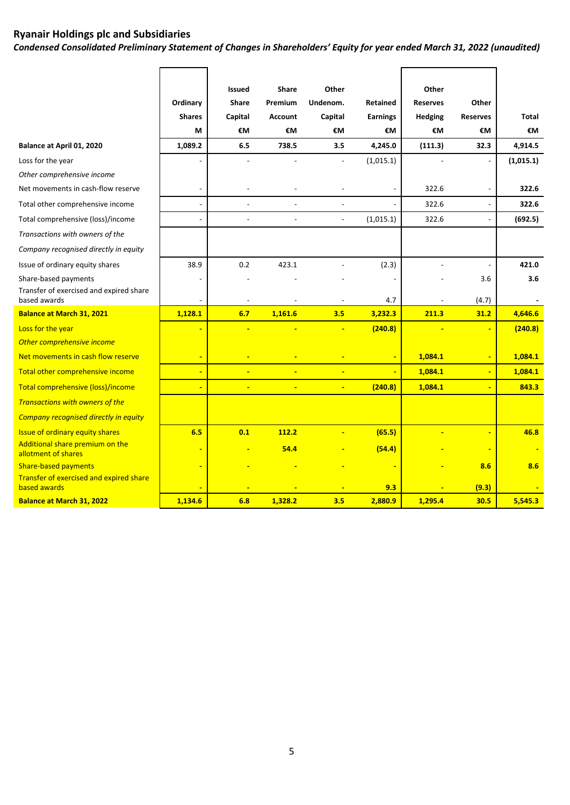*Condensed Consolidated Preliminary Statement of Changes in Shareholders' Equity for year ended March 31, 2022 (unaudited)* 

|                                                         |                          | Issued                   | Share          | Other                    |                 | Other           |                 |           |
|---------------------------------------------------------|--------------------------|--------------------------|----------------|--------------------------|-----------------|-----------------|-----------------|-----------|
|                                                         | Ordinary                 | <b>Share</b>             | Premium        | Undenom.                 | <b>Retained</b> | <b>Reserves</b> | Other           |           |
|                                                         | <b>Shares</b>            | Capital                  | <b>Account</b> | Capital                  | <b>Earnings</b> | <b>Hedging</b>  | <b>Reserves</b> | Total     |
|                                                         | М                        | €M                       | €M             | €M                       | €M              | €M              | €M              | €M        |
| Balance at April 01, 2020                               | 1,089.2                  | 6.5                      | 738.5          | 3.5                      | 4,245.0         | (111.3)         | 32.3            | 4,914.5   |
| Loss for the year                                       |                          |                          |                | $\overline{a}$           | (1,015.1)       |                 |                 | (1,015.1) |
| Other comprehensive income                              |                          |                          |                |                          |                 |                 |                 |           |
| Net movements in cash-flow reserve                      | $\overline{\phantom{0}}$ |                          |                |                          |                 | 322.6           |                 | 322.6     |
| Total other comprehensive income                        | $\overline{\phantom{a}}$ | $\overline{a}$           |                |                          |                 | 322.6           |                 | 322.6     |
| Total comprehensive (loss)/income                       | $\blacksquare$           | $\overline{a}$           | $\overline{a}$ | $\overline{\phantom{a}}$ | (1,015.1)       | 322.6           |                 | (692.5)   |
| Transactions with owners of the                         |                          |                          |                |                          |                 |                 |                 |           |
| Company recognised directly in equity                   |                          |                          |                |                          |                 |                 |                 |           |
| Issue of ordinary equity shares                         | 38.9                     | 0.2                      | 423.1          |                          | (2.3)           | $\overline{a}$  |                 | 421.0     |
| Share-based payments                                    |                          |                          |                |                          |                 |                 | 3.6             | 3.6       |
| Transfer of exercised and expired share<br>based awards |                          | $\overline{a}$           |                |                          | 4.7             |                 | (4.7)           |           |
| <b>Balance at March 31, 2021</b>                        | 1,128.1                  | 6.7                      | 1,161.6        | 3.5                      | 3,232.3         | 211.3           | 31.2            | 4,646.6   |
| Loss for the year                                       | ÷                        | ÷                        | ÷              | ÷                        | (240.8)         |                 |                 | (240.8)   |
| Other comprehensive income                              |                          |                          |                |                          |                 |                 |                 |           |
| Net movements in cash flow reserve                      | $\blacksquare$           | $\overline{\phantom{a}}$ | ÷              | ÷                        |                 | 1,084.1         |                 | 1,084.1   |
| Total other comprehensive income                        | ÷                        |                          |                |                          |                 | 1,084.1         |                 | 1,084.1   |
|                                                         |                          |                          |                |                          |                 |                 |                 |           |
| Total comprehensive (loss)/income                       | $\blacksquare$           | $\blacksquare$           | $\blacksquare$ | ÷                        | (240.8)         | 1,084.1         |                 | 843.3     |
| Transactions with owners of the                         |                          |                          |                |                          |                 |                 |                 |           |
| Company recognised directly in equity                   |                          |                          |                |                          |                 |                 |                 |           |
| <b>Issue of ordinary equity shares</b>                  | 6.5                      | 0.1                      | 112.2          |                          | (65.5)          |                 |                 | 46.8      |
| Additional share premium on the<br>allotment of shares  |                          |                          | 54.4           |                          | (54.4)          |                 |                 |           |
| <b>Share-based payments</b>                             |                          |                          |                |                          |                 |                 | 8.6             | 8.6       |
| Transfer of exercised and expired share<br>based awards |                          |                          |                |                          | 9.3             |                 | (9.3)           |           |
| <b>Balance at March 31, 2022</b>                        | 1,134.6                  | 6.8                      | 1.328.2        | 3.5                      | 2.880.9         | 1.295.4         | 30.5            | 5.545.3   |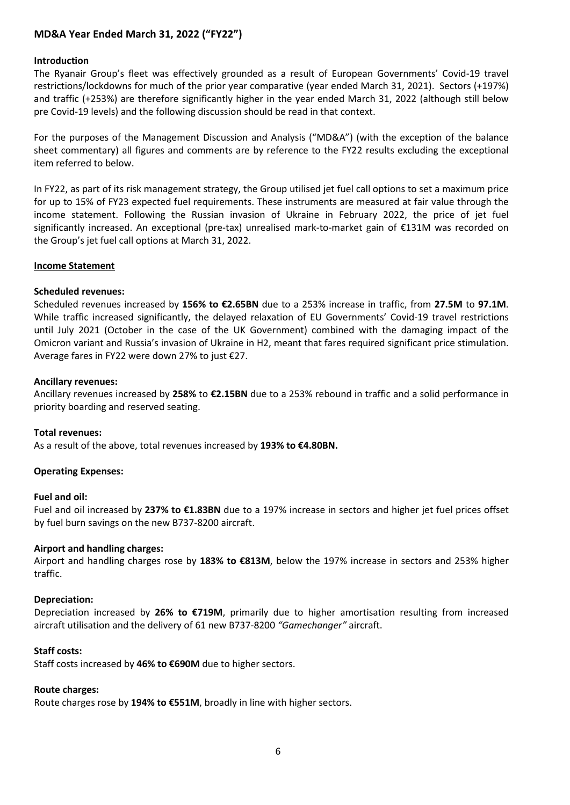# **MD&A Year Ended March 31, 2022 ("FY22")**

#### **Introduction**

The Ryanair Group's fleet was effectively grounded as a result of European Governments' Covid-19 travel restrictions/lockdowns for much of the prior year comparative (year ended March 31, 2021). Sectors (+197%) and traffic (+253%) are therefore significantly higher in the year ended March 31, 2022 (although still below pre Covid-19 levels) and the following discussion should be read in that context.

For the purposes of the Management Discussion and Analysis ("MD&A") (with the exception of the balance sheet commentary) all figures and comments are by reference to the FY22 results excluding the exceptional item referred to below.

In FY22, as part of its risk management strategy, the Group utilised jet fuel call options to set a maximum price for up to 15% of FY23 expected fuel requirements. These instruments are measured at fair value through the income statement. Following the Russian invasion of Ukraine in February 2022, the price of jet fuel significantly increased. An exceptional (pre-tax) unrealised mark-to-market gain of €131M was recorded on the Group's jet fuel call options at March 31, 2022.

#### **Income Statement**

#### **Scheduled revenues:**

Scheduled revenues increased by **156% to €2.65BN** due to a 253% increase in traffic, from **27.5M** to **97.1M**. While traffic increased significantly, the delayed relaxation of EU Governments' Covid-19 travel restrictions until July 2021 (October in the case of the UK Government) combined with the damaging impact of the Omicron variant and Russia's invasion of Ukraine in H2, meant that fares required significant price stimulation. Average fares in FY22 were down 27% to just €27.

#### **Ancillary revenues:**

Ancillary revenues increased by **258%** to **€2.15BN** due to a 253% rebound in traffic and a solid performance in priority boarding and reserved seating.

#### **Total revenues:**

As a result of the above, total revenues increased by **193% to €4.80BN.** 

## **Operating Expenses:**

#### **Fuel and oil:**

Fuel and oil increased by **237% to €1.83BN** due to a 197% increase in sectors and higher jet fuel prices offset by fuel burn savings on the new B737-8200 aircraft.

#### **Airport and handling charges:**

Airport and handling charges rose by **183% to €813M**, below the 197% increase in sectors and 253% higher traffic.

#### **Depreciation:**

Depreciation increased by **26% to €719M**, primarily due to higher amortisation resulting from increased aircraft utilisation and the delivery of 61 new B737-8200 *"Gamechanger"* aircraft.

#### **Staff costs:**

Staff costs increased by **46% to €690M** due to higher sectors.

#### **Route charges:**

Route charges rose by **194% to €551M**, broadly in line with higher sectors.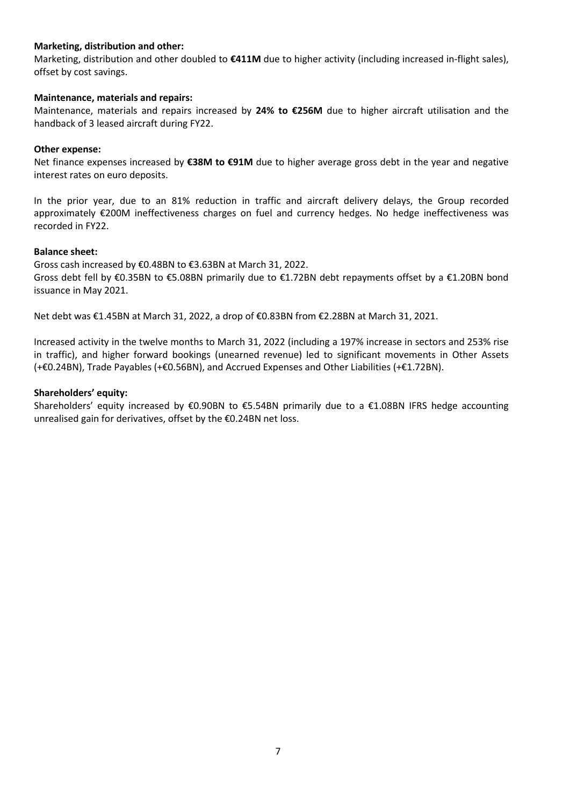## **Marketing, distribution and other:**

Marketing, distribution and other doubled to **€411M** due to higher activity (including increased in-flight sales), offset by cost savings.

## **Maintenance, materials and repairs:**

Maintenance, materials and repairs increased by **24% to €256M** due to higher aircraft utilisation and the handback of 3 leased aircraft during FY22.

#### **Other expense:**

Net finance expenses increased by **€38M to €91M** due to higher average gross debt in the year and negative interest rates on euro deposits.

In the prior year, due to an 81% reduction in traffic and aircraft delivery delays, the Group recorded approximately €200M ineffectiveness charges on fuel and currency hedges. No hedge ineffectiveness was recorded in FY22.

#### **Balance sheet:**

Gross cash increased by €0.48BN to €3.63BN at March 31, 2022. Gross debt fell by €0.35BN to €5.08BN primarily due to €1.72BN debt repayments offset by a €1.20BN bond issuance in May 2021.

Net debt was €1.45BN at March 31, 2022, a drop of €0.83BN from €2.28BN at March 31, 2021.

Increased activity in the twelve months to March 31, 2022 (including a 197% increase in sectors and 253% rise in traffic), and higher forward bookings (unearned revenue) led to significant movements in Other Assets (+€0.24BN), Trade Payables (+€0.56BN), and Accrued Expenses and Other Liabilities (+€1.72BN).

#### **Shareholders' equity:**

Shareholders' equity increased by  $$0.90B$ N to  $$5.54B$ N primarily due to a  $$1.08B$ N IFRS hedge accounting unrealised gain for derivatives, offset by the €0.24BN net loss.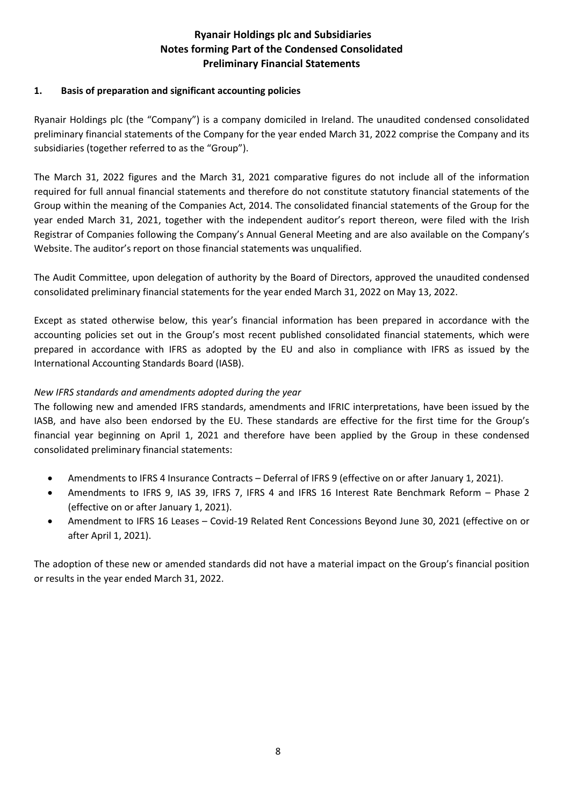# **Ryanair Holdings plc and Subsidiaries Notes forming Part of the Condensed Consolidated Preliminary Financial Statements**

# **1. Basis of preparation and significant accounting policies**

Ryanair Holdings plc (the "Company") is a company domiciled in Ireland. The unaudited condensed consolidated preliminary financial statements of the Company for the year ended March 31, 2022 comprise the Company and its subsidiaries (together referred to as the "Group").

The March 31, 2022 figures and the March 31, 2021 comparative figures do not include all of the information required for full annual financial statements and therefore do not constitute statutory financial statements of the Group within the meaning of the Companies Act, 2014. The consolidated financial statements of the Group for the year ended March 31, 2021, together with the independent auditor's report thereon, were filed with the Irish Registrar of Companies following the Company's Annual General Meeting and are also available on the Company's Website. The auditor's report on those financial statements was unqualified.

The Audit Committee, upon delegation of authority by the Board of Directors, approved the unaudited condensed consolidated preliminary financial statements for the year ended March 31, 2022 on May 13, 2022.

Except as stated otherwise below, this year's financial information has been prepared in accordance with the accounting policies set out in the Group's most recent published consolidated financial statements, which were prepared in accordance with IFRS as adopted by the EU and also in compliance with IFRS as issued by the International Accounting Standards Board (IASB).

# *New IFRS standards and amendments adopted during the year*

The following new and amended IFRS standards, amendments and IFRIC interpretations, have been issued by the IASB, and have also been endorsed by the EU. These standards are effective for the first time for the Group's financial year beginning on April 1, 2021 and therefore have been applied by the Group in these condensed consolidated preliminary financial statements:

- Amendments to IFRS 4 Insurance Contracts Deferral of IFRS 9 (effective on or after January 1, 2021).
- Amendments to IFRS 9, IAS 39, IFRS 7, IFRS 4 and IFRS 16 Interest Rate Benchmark Reform Phase 2 (effective on or after January 1, 2021).
- Amendment to IFRS 16 Leases Covid-19 Related Rent Concessions Beyond June 30, 2021 (effective on or after April 1, 2021).

The adoption of these new or amended standards did not have a material impact on the Group's financial position or results in the year ended March 31, 2022.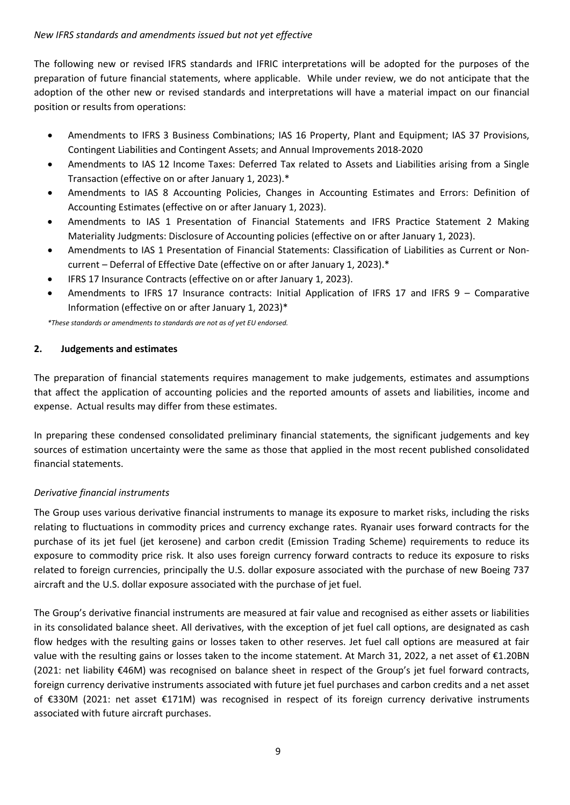# *New IFRS standards and amendments issued but not yet effective*

The following new or revised IFRS standards and IFRIC interpretations will be adopted for the purposes of the preparation of future financial statements, where applicable. While under review, we do not anticipate that the adoption of the other new or revised standards and interpretations will have a material impact on our financial position or results from operations:

- Amendments to IFRS 3 Business Combinations; IAS 16 Property, Plant and Equipment; IAS 37 Provisions, Contingent Liabilities and Contingent Assets; and Annual Improvements 2018-2020
- Amendments to IAS 12 Income Taxes: Deferred Tax related to Assets and Liabilities arising from a Single Transaction (effective on or after January 1, 2023).\*
- Amendments to IAS 8 Accounting Policies, Changes in Accounting Estimates and Errors: Definition of Accounting Estimates (effective on or after January 1, 2023).
- Amendments to IAS 1 Presentation of Financial Statements and IFRS Practice Statement 2 Making Materiality Judgments: Disclosure of Accounting policies (effective on or after January 1, 2023).
- Amendments to IAS 1 Presentation of Financial Statements: Classification of Liabilities as Current or Noncurrent – Deferral of Effective Date (effective on or after January 1, 2023).\*
- IFRS 17 Insurance Contracts (effective on or after January 1, 2023).
- Amendments to IFRS 17 Insurance contracts: Initial Application of IFRS 17 and IFRS 9 Comparative Information (effective on or after January 1, 2023)\*

*\*These standards or amendments to standards are not as of yet EU endorsed.*

## **2. Judgements and estimates**

The preparation of financial statements requires management to make judgements, estimates and assumptions that affect the application of accounting policies and the reported amounts of assets and liabilities, income and expense. Actual results may differ from these estimates.

In preparing these condensed consolidated preliminary financial statements, the significant judgements and key sources of estimation uncertainty were the same as those that applied in the most recent published consolidated financial statements.

## *Derivative financial instruments*

The Group uses various derivative financial instruments to manage its exposure to market risks, including the risks relating to fluctuations in commodity prices and currency exchange rates. Ryanair uses forward contracts for the purchase of its jet fuel (jet kerosene) and carbon credit (Emission Trading Scheme) requirements to reduce its exposure to commodity price risk. It also uses foreign currency forward contracts to reduce its exposure to risks related to foreign currencies, principally the U.S. dollar exposure associated with the purchase of new Boeing 737 aircraft and the U.S. dollar exposure associated with the purchase of jet fuel.

The Group's derivative financial instruments are measured at fair value and recognised as either assets or liabilities in its consolidated balance sheet. All derivatives, with the exception of jet fuel call options, are designated as cash flow hedges with the resulting gains or losses taken to other reserves. Jet fuel call options are measured at fair value with the resulting gains or losses taken to the income statement. At March 31, 2022, a net asset of €1.20BN (2021: net liability €46M) was recognised on balance sheet in respect of the Group's jet fuel forward contracts, foreign currency derivative instruments associated with future jet fuel purchases and carbon credits and a net asset of €330M (2021: net asset €171M) was recognised in respect of its foreign currency derivative instruments associated with future aircraft purchases.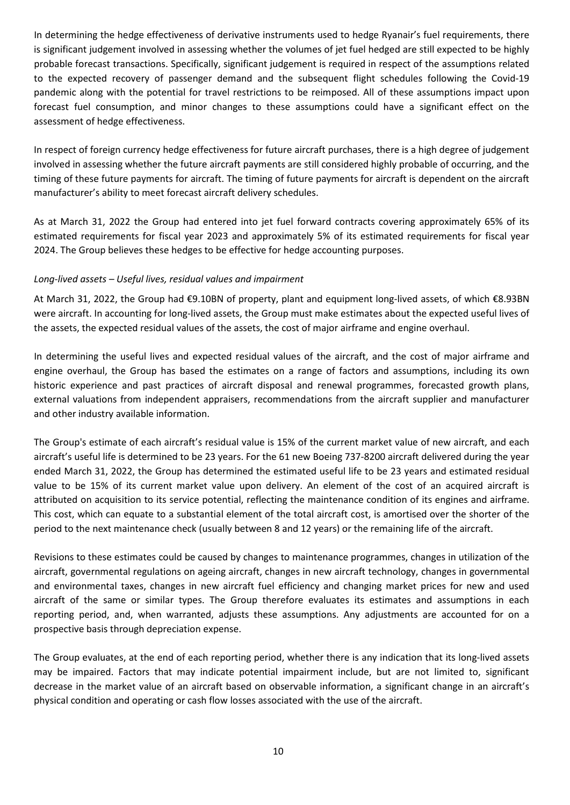In determining the hedge effectiveness of derivative instruments used to hedge Ryanair's fuel requirements, there is significant judgement involved in assessing whether the volumes of jet fuel hedged are still expected to be highly probable forecast transactions. Specifically, significant judgement is required in respect of the assumptions related to the expected recovery of passenger demand and the subsequent flight schedules following the Covid-19 pandemic along with the potential for travel restrictions to be reimposed. All of these assumptions impact upon forecast fuel consumption, and minor changes to these assumptions could have a significant effect on the assessment of hedge effectiveness.

In respect of foreign currency hedge effectiveness for future aircraft purchases, there is a high degree of judgement involved in assessing whether the future aircraft payments are still considered highly probable of occurring, and the timing of these future payments for aircraft. The timing of future payments for aircraft is dependent on the aircraft manufacturer's ability to meet forecast aircraft delivery schedules.

As at March 31, 2022 the Group had entered into jet fuel forward contracts covering approximately 65% of its estimated requirements for fiscal year 2023 and approximately 5% of its estimated requirements for fiscal year 2024. The Group believes these hedges to be effective for hedge accounting purposes.

## *Long-lived assets – Useful lives, residual values and impairment*

At March 31, 2022, the Group had €9.10BN of property, plant and equipment long-lived assets, of which €8.93BN were aircraft. In accounting for long-lived assets, the Group must make estimates about the expected useful lives of the assets, the expected residual values of the assets, the cost of major airframe and engine overhaul.

In determining the useful lives and expected residual values of the aircraft, and the cost of major airframe and engine overhaul, the Group has based the estimates on a range of factors and assumptions, including its own historic experience and past practices of aircraft disposal and renewal programmes, forecasted growth plans, external valuations from independent appraisers, recommendations from the aircraft supplier and manufacturer and other industry available information.

The Group's estimate of each aircraft's residual value is 15% of the current market value of new aircraft, and each aircraft's useful life is determined to be 23 years. For the 61 new Boeing 737-8200 aircraft delivered during the year ended March 31, 2022, the Group has determined the estimated useful life to be 23 years and estimated residual value to be 15% of its current market value upon delivery. An element of the cost of an acquired aircraft is attributed on acquisition to its service potential, reflecting the maintenance condition of its engines and airframe. This cost, which can equate to a substantial element of the total aircraft cost, is amortised over the shorter of the period to the next maintenance check (usually between 8 and 12 years) or the remaining life of the aircraft.

Revisions to these estimates could be caused by changes to maintenance programmes, changes in utilization of the aircraft, governmental regulations on ageing aircraft, changes in new aircraft technology, changes in governmental and environmental taxes, changes in new aircraft fuel efficiency and changing market prices for new and used aircraft of the same or similar types. The Group therefore evaluates its estimates and assumptions in each reporting period, and, when warranted, adjusts these assumptions. Any adjustments are accounted for on a prospective basis through depreciation expense.

The Group evaluates, at the end of each reporting period, whether there is any indication that its long-lived assets may be impaired. Factors that may indicate potential impairment include, but are not limited to, significant decrease in the market value of an aircraft based on observable information, a significant change in an aircraft's physical condition and operating or cash flow losses associated with the use of the aircraft.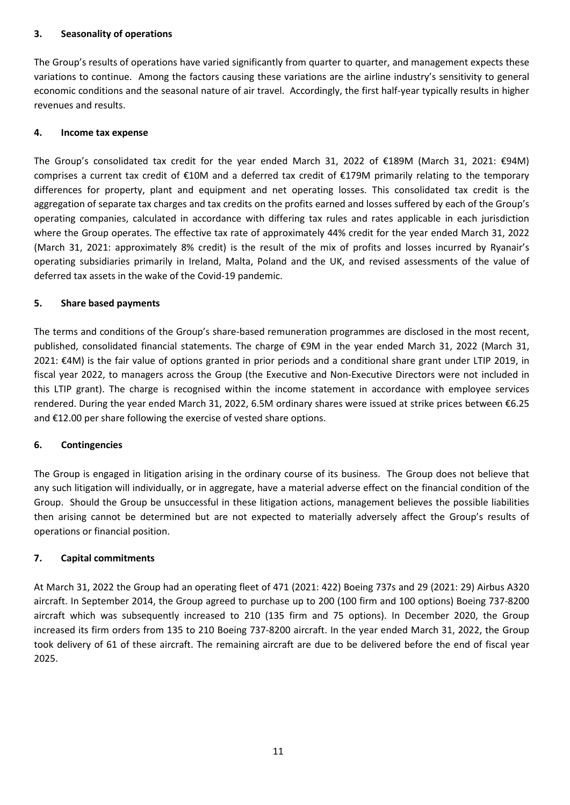# **3. Seasonality of operations**

The Group's results of operations have varied significantly from quarter to quarter, and management expects these variations to continue. Among the factors causing these variations are the airline industry's sensitivity to general economic conditions and the seasonal nature of air travel. Accordingly, the first half-year typically results in higher revenues and results.

## **4. Income tax expense**

The Group's consolidated tax credit for the year ended March 31, 2022 of €189M (March 31, 2021: €94M) comprises a current tax credit of €10M and a deferred tax credit of €179M primarily relating to the temporary differences for property, plant and equipment and net operating losses. This consolidated tax credit is the aggregation of separate tax charges and tax credits on the profits earned and losses suffered by each of the Group's operating companies, calculated in accordance with differing tax rules and rates applicable in each jurisdiction where the Group operates. The effective tax rate of approximately 44% credit for the year ended March 31, 2022 (March 31, 2021: approximately 8% credit) is the result of the mix of profits and losses incurred by Ryanair's operating subsidiaries primarily in Ireland, Malta, Poland and the UK, and revised assessments of the value of deferred tax assets in the wake of the Covid-19 pandemic.

## **5. Share based payments**

The terms and conditions of the Group's share-based remuneration programmes are disclosed in the most recent, published, consolidated financial statements. The charge of €9M in the year ended March 31, 2022 (March 31, 2021: €4M) is the fair value of options granted in prior periods and a conditional share grant under LTIP 2019, in fiscal year 2022, to managers across the Group (the Executive and Non-Executive Directors were not included in this LTIP grant). The charge is recognised within the income statement in accordance with employee services rendered. During the year ended March 31, 2022, 6.5M ordinary shares were issued at strike prices between €6.25 and €12.00 per share following the exercise of vested share options.

## **6. Contingencies**

The Group is engaged in litigation arising in the ordinary course of its business. The Group does not believe that any such litigation will individually, or in aggregate, have a material adverse effect on the financial condition of the Group. Should the Group be unsuccessful in these litigation actions, management believes the possible liabilities then arising cannot be determined but are not expected to materially adversely affect the Group's results of operations or financial position.

## **7. Capital commitments**

At March 31, 2022 the Group had an operating fleet of 471 (2021: 422) Boeing 737s and 29 (2021: 29) Airbus A320 aircraft. In September 2014, the Group agreed to purchase up to 200 (100 firm and 100 options) Boeing 737-8200 aircraft which was subsequently increased to 210 (135 firm and 75 options). In December 2020, the Group increased its firm orders from 135 to 210 Boeing 737-8200 aircraft. In the year ended March 31, 2022, the Group took delivery of 61 of these aircraft. The remaining aircraft are due to be delivered before the end of fiscal year 2025.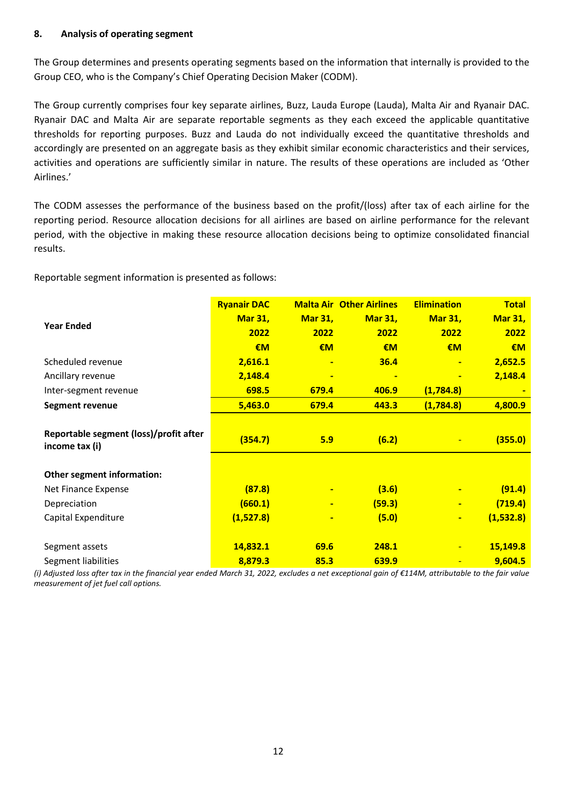## **8. Analysis of operating segment**

The Group determines and presents operating segments based on the information that internally is provided to the Group CEO, who is the Company's Chief Operating Decision Maker (CODM).

The Group currently comprises four key separate airlines, Buzz, Lauda Europe (Lauda), Malta Air and Ryanair DAC. Ryanair DAC and Malta Air are separate reportable segments as they each exceed the applicable quantitative thresholds for reporting purposes. Buzz and Lauda do not individually exceed the quantitative thresholds and accordingly are presented on an aggregate basis as they exhibit similar economic characteristics and their services, activities and operations are sufficiently similar in nature. The results of these operations are included as 'Other Airlines.'

The CODM assesses the performance of the business based on the profit/(loss) after tax of each airline for the reporting period. Resource allocation decisions for all airlines are based on airline performance for the relevant period, with the objective in making these resource allocation decisions being to optimize consolidated financial results.

Reportable segment information is presented as follows:

|                                                          | <b>Ryanair DAC</b> |                | <b>Malta Air Other Airlines</b> | <b>Elimination</b> | <b>Total</b>   |
|----------------------------------------------------------|--------------------|----------------|---------------------------------|--------------------|----------------|
|                                                          | <b>Mar 31,</b>     | <b>Mar 31,</b> | <b>Mar 31,</b>                  | <b>Mar 31,</b>     | <b>Mar 31,</b> |
| <b>Year Ended</b>                                        | 2022               | 2022           | 2022                            | 2022               | 2022           |
|                                                          | €M                 | €M             | $\epsilon$ M                    | €M                 | €M             |
| Scheduled revenue                                        | 2,616.1            | $\blacksquare$ | 36.4                            | $\blacksquare$     | 2,652.5        |
| Ancillary revenue                                        | 2,148.4            | $\blacksquare$ | $\blacksquare$                  | $\blacksquare$     | 2,148.4        |
| Inter-segment revenue                                    | 698.5              | 679.4          | 406.9                           | (1,784.8)          |                |
| <b>Segment revenue</b>                                   | 5,463.0            | 679.4          | 443.3                           | (1,784.8)          | 4,800.9        |
|                                                          |                    |                |                                 |                    |                |
| Reportable segment (loss)/profit after<br>income tax (i) | (354.7)            | 5.9            | (6.2)                           |                    | (355.0)        |
|                                                          |                    |                |                                 |                    |                |
| Other segment information:                               |                    |                |                                 |                    |                |
| Net Finance Expense                                      | (87.8)             | ٠              | (3.6)                           |                    | (91.4)         |
| Depreciation                                             | (660.1)            | ٠              | (59.3)                          | ٠                  | (719.4)        |
| Capital Expenditure                                      | (1,527.8)          | ٠              | (5.0)                           | $\blacksquare$     | (1,532.8)      |
|                                                          |                    |                |                                 |                    |                |
| Segment assets                                           | 14,832.1           | 69.6           | 248.1                           | $\blacksquare$     | 15,149.8       |
| Segment liabilities                                      | 8,879.3            | 85.3           | 639.9                           |                    | 9,604.5        |

*(i) Adjusted loss after tax in the financial year ended March 31, 2022, excludes a net exceptional gain of €114M, attributable to the fair value measurement of jet fuel call options.*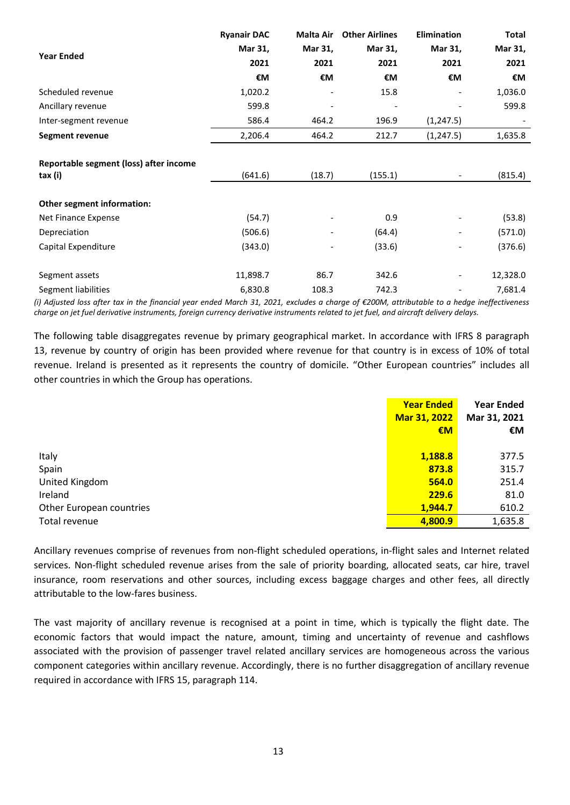|                                                   | <b>Ryanair DAC</b> | <b>Malta Air</b>         | <b>Other Airlines</b> | <b>Elimination</b>       | Total    |
|---------------------------------------------------|--------------------|--------------------------|-----------------------|--------------------------|----------|
| <b>Year Ended</b>                                 | Mar 31,            | Mar 31,                  | Mar 31,               | Mar 31,                  | Mar 31,  |
|                                                   | 2021               | 2021                     | 2021                  | 2021                     | 2021     |
|                                                   | €M                 | €M                       | €M                    | €M                       | €M       |
| Scheduled revenue                                 | 1,020.2            |                          | 15.8                  |                          | 1,036.0  |
| Ancillary revenue                                 | 599.8              |                          |                       |                          | 599.8    |
| Inter-segment revenue                             | 586.4              | 464.2                    | 196.9                 | (1, 247.5)               |          |
| <b>Segment revenue</b>                            | 2,206.4            | 464.2                    | 212.7                 | (1, 247.5)               | 1,635.8  |
| Reportable segment (loss) after income<br>tax (i) | (641.6)            | (18.7)                   | (155.1)               |                          | (815.4)  |
|                                                   |                    |                          |                       |                          |          |
| Other segment information:                        |                    |                          |                       |                          |          |
| Net Finance Expense                               | (54.7)             |                          | 0.9                   |                          | (53.8)   |
| Depreciation                                      | (506.6)            |                          | (64.4)                | $\overline{\phantom{a}}$ | (571.0)  |
| Capital Expenditure                               | (343.0)            | $\overline{\phantom{a}}$ | (33.6)                | $\overline{\phantom{a}}$ | (376.6)  |
| Segment assets                                    | 11,898.7           | 86.7                     | 342.6                 | $\overline{\phantom{a}}$ | 12,328.0 |
| Segment liabilities                               | 6,830.8            | 108.3                    | 742.3                 |                          | 7,681.4  |

*(i) Adjusted loss after tax in the financial year ended March 31, 2021, excludes a charge of €200M, attributable to a hedge ineffectiveness charge on jet fuel derivative instruments, foreign currency derivative instruments related to jet fuel, and aircraft delivery delays.*

The following table disaggregates revenue by primary geographical market. In accordance with IFRS 8 paragraph 13, revenue by country of origin has been provided where revenue for that country is in excess of 10% of total revenue. Ireland is presented as it represents the country of domicile. "Other European countries" includes all other countries in which the Group has operations.

|                          | <b>Year Ended</b> | <b>Year Ended</b> |
|--------------------------|-------------------|-------------------|
|                          | Mar 31, 2022      | Mar 31, 2021      |
|                          | €M                | €M                |
|                          |                   |                   |
| Italy                    | 1,188.8           | 377.5             |
| Spain                    | 873.8             | 315.7             |
| United Kingdom           | 564.0             | 251.4             |
| Ireland                  | <b>229.6</b>      | 81.0              |
| Other European countries | 1,944.7           | 610.2             |
| Total revenue            | 4,800.9           | 1,635.8           |

Ancillary revenues comprise of revenues from non-flight scheduled operations, in-flight sales and Internet related services. Non-flight scheduled revenue arises from the sale of priority boarding, allocated seats, car hire, travel insurance, room reservations and other sources, including excess baggage charges and other fees, all directly attributable to the low-fares business.

The vast majority of ancillary revenue is recognised at a point in time, which is typically the flight date. The economic factors that would impact the nature, amount, timing and uncertainty of revenue and cashflows associated with the provision of passenger travel related ancillary services are homogeneous across the various component categories within ancillary revenue. Accordingly, there is no further disaggregation of ancillary revenue required in accordance with IFRS 15, paragraph 114.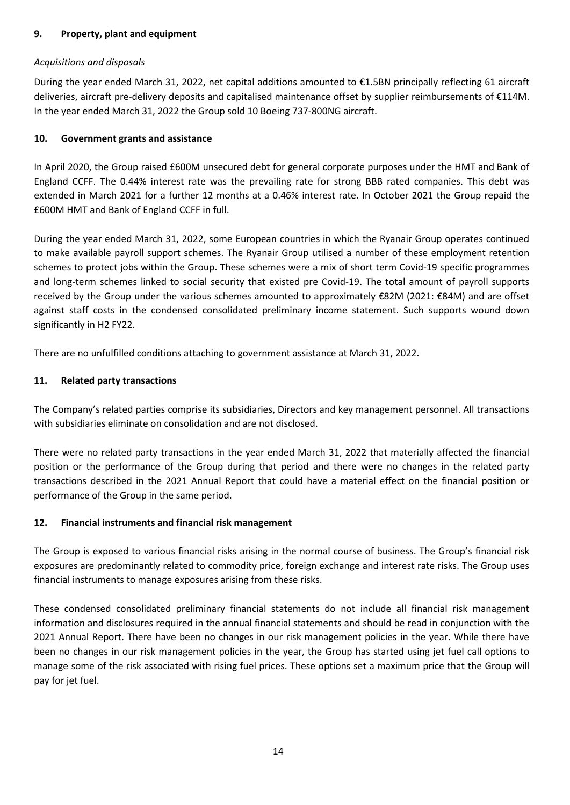# **9. Property, plant and equipment**

# *Acquisitions and disposals*

During the year ended March 31, 2022, net capital additions amounted to €1.5BN principally reflecting 61 aircraft deliveries, aircraft pre-delivery deposits and capitalised maintenance offset by supplier reimbursements of €114M. In the year ended March 31, 2022 the Group sold 10 Boeing 737-800NG aircraft.

# **10. Government grants and assistance**

In April 2020, the Group raised £600M unsecured debt for general corporate purposes under the HMT and Bank of England CCFF. The 0.44% interest rate was the prevailing rate for strong BBB rated companies. This debt was extended in March 2021 for a further 12 months at a 0.46% interest rate. In October 2021 the Group repaid the £600M HMT and Bank of England CCFF in full.

During the year ended March 31, 2022, some European countries in which the Ryanair Group operates continued to make available payroll support schemes. The Ryanair Group utilised a number of these employment retention schemes to protect jobs within the Group. These schemes were a mix of short term Covid-19 specific programmes and long-term schemes linked to social security that existed pre Covid-19. The total amount of payroll supports received by the Group under the various schemes amounted to approximately €82M (2021: €84M) and are offset against staff costs in the condensed consolidated preliminary income statement. Such supports wound down significantly in H2 FY22.

There are no unfulfilled conditions attaching to government assistance at March 31, 2022.

## **11. Related party transactions**

The Company's related parties comprise its subsidiaries, Directors and key management personnel. All transactions with subsidiaries eliminate on consolidation and are not disclosed.

There were no related party transactions in the year ended March 31, 2022 that materially affected the financial position or the performance of the Group during that period and there were no changes in the related party transactions described in the 2021 Annual Report that could have a material effect on the financial position or performance of the Group in the same period.

# **12. Financial instruments and financial risk management**

The Group is exposed to various financial risks arising in the normal course of business. The Group's financial risk exposures are predominantly related to commodity price, foreign exchange and interest rate risks. The Group uses financial instruments to manage exposures arising from these risks.

These condensed consolidated preliminary financial statements do not include all financial risk management information and disclosures required in the annual financial statements and should be read in conjunction with the 2021 Annual Report. There have been no changes in our risk management policies in the year. While there have been no changes in our risk management policies in the year, the Group has started using jet fuel call options to manage some of the risk associated with rising fuel prices. These options set a maximum price that the Group will pay for jet fuel.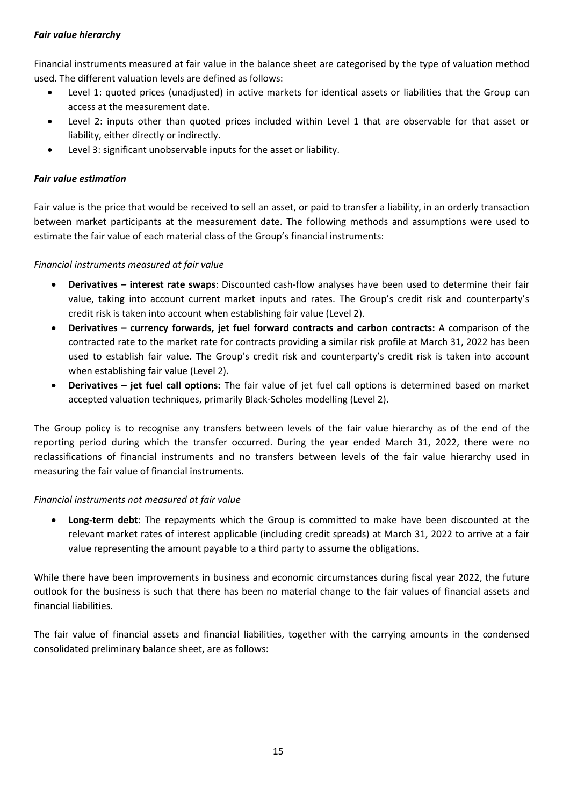# *Fair value hierarchy*

Financial instruments measured at fair value in the balance sheet are categorised by the type of valuation method used. The different valuation levels are defined as follows:

- Level 1: quoted prices (unadjusted) in active markets for identical assets or liabilities that the Group can access at the measurement date.
- Level 2: inputs other than quoted prices included within Level 1 that are observable for that asset or liability, either directly or indirectly.
- Level 3: significant unobservable inputs for the asset or liability.

# *Fair value estimation*

Fair value is the price that would be received to sell an asset, or paid to transfer a liability, in an orderly transaction between market participants at the measurement date. The following methods and assumptions were used to estimate the fair value of each material class of the Group's financial instruments:

## *Financial instruments measured at fair value*

- **Derivatives – interest rate swaps**: Discounted cash-flow analyses have been used to determine their fair value, taking into account current market inputs and rates. The Group's credit risk and counterparty's credit risk is taken into account when establishing fair value (Level 2).
- **Derivatives – currency forwards, jet fuel forward contracts and carbon contracts:** A comparison of the contracted rate to the market rate for contracts providing a similar risk profile at March 31, 2022 has been used to establish fair value. The Group's credit risk and counterparty's credit risk is taken into account when establishing fair value (Level 2).
- **Derivatives – jet fuel call options:** The fair value of jet fuel call options is determined based on market accepted valuation techniques, primarily Black-Scholes modelling (Level 2).

The Group policy is to recognise any transfers between levels of the fair value hierarchy as of the end of the reporting period during which the transfer occurred. During the year ended March 31, 2022, there were no reclassifications of financial instruments and no transfers between levels of the fair value hierarchy used in measuring the fair value of financial instruments.

## *Financial instruments not measured at fair value*

• **Long-term debt**: The repayments which the Group is committed to make have been discounted at the relevant market rates of interest applicable (including credit spreads) at March 31, 2022 to arrive at a fair value representing the amount payable to a third party to assume the obligations.

While there have been improvements in business and economic circumstances during fiscal year 2022, the future outlook for the business is such that there has been no material change to the fair values of financial assets and financial liabilities.

The fair value of financial assets and financial liabilities, together with the carrying amounts in the condensed consolidated preliminary balance sheet, are as follows: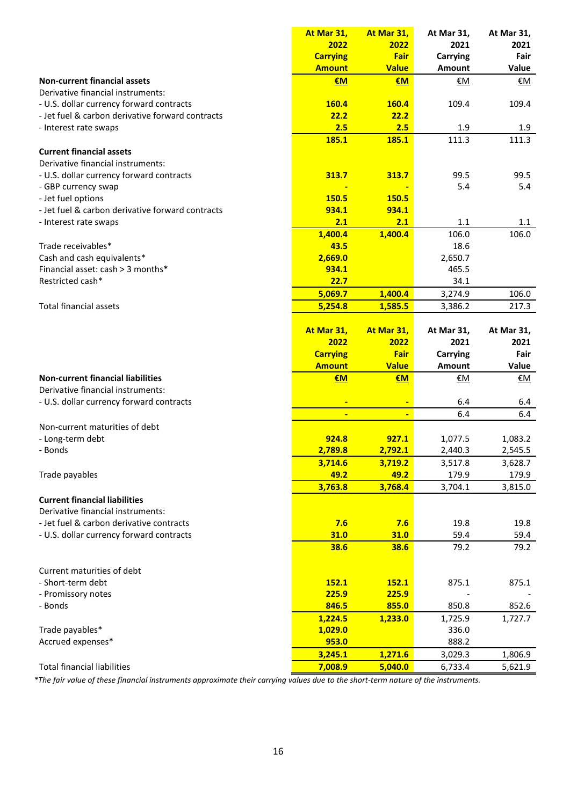|                                                  | At Mar 31,         | At Mar 31,         | At Mar 31,         | At Mar 31,         |
|--------------------------------------------------|--------------------|--------------------|--------------------|--------------------|
|                                                  | 2022               | 2022               | 2021               | 2021               |
|                                                  | <b>Carrying</b>    | Fair               | <b>Carrying</b>    | Fair               |
|                                                  | <b>Amount</b>      | <b>Value</b>       | Amount             | Value              |
| <b>Non-current financial assets</b>              | €M                 | €M                 | €M                 | €Μ                 |
| Derivative financial instruments:                |                    |                    |                    |                    |
| - U.S. dollar currency forward contracts         | 160.4              | 160.4              | 109.4              | 109.4              |
| - Jet fuel & carbon derivative forward contracts | 22.2               | 22.2               |                    |                    |
| - Interest rate swaps                            | 2.5                | 2.5                | 1.9                | 1.9                |
|                                                  | 185.1              | 185.1              | 111.3              | 111.3              |
| <b>Current financial assets</b>                  |                    |                    |                    |                    |
| Derivative financial instruments:                |                    |                    |                    |                    |
| - U.S. dollar currency forward contracts         | 313.7              | 313.7              | 99.5               | 99.5               |
| - GBP currency swap                              |                    |                    | 5.4                | 5.4                |
| - Jet fuel options                               | 150.5              | 150.5              |                    |                    |
| - Jet fuel & carbon derivative forward contracts | 934.1              | 934.1              |                    |                    |
| - Interest rate swaps                            | 2.1                | 2.1                | 1.1                | 1.1                |
|                                                  | 1,400.4            | 1,400.4            | 106.0              | 106.0              |
| Trade receivables*                               | 43.5               |                    | 18.6               |                    |
| Cash and cash equivalents*                       | 2,669.0            |                    | 2,650.7            |                    |
| Financial asset: cash > 3 months*                | 934.1              |                    | 465.5              |                    |
| Restricted cash*                                 | 22.7               |                    | 34.1               |                    |
|                                                  |                    |                    |                    |                    |
|                                                  | 5,069.7            | 1,400.4            | 3,274.9            | 106.0              |
| <b>Total financial assets</b>                    | 5,254.8            | 1,585.5            | 3,386.2            | 217.3              |
|                                                  |                    |                    |                    |                    |
|                                                  | At Mar 31,         | At Mar 31,         | At Mar 31,         | At Mar 31,         |
|                                                  | 2022               | 2022               | 2021               | 2021               |
|                                                  | <b>Carrying</b>    | <b>Fair</b>        | <b>Carrying</b>    | Fair               |
|                                                  | <b>Amount</b>      | <b>Value</b>       | Amount             | Value              |
| <b>Non-current financial liabilities</b>         | €M                 | €M                 | €M                 | €Μ                 |
| Derivative financial instruments:                |                    |                    |                    |                    |
| - U.S. dollar currency forward contracts         |                    |                    | 6.4                | 6.4                |
|                                                  | Ξ                  | $\blacksquare$     | 6.4                | 6.4                |
| Non-current maturities of debt                   |                    |                    |                    |                    |
| - Long-term debt                                 | 924.8              | 927.1              | 1,077.5            | 1,083.2            |
| - Bonds                                          | 2,789.8            | 2,792.1            | 2,440.3            | 2,545.5            |
|                                                  | 3,714.6            | 3,719.2            | 3,517.8            | 3,628.7            |
| Trade payables                                   | 49.2               | 49.2               | 179.9              | 179.9              |
|                                                  | 3,763.8            | 3,768.4            | 3,704.1            | 3,815.0            |
| <b>Current financial liabilities</b>             |                    |                    |                    |                    |
| Derivative financial instruments:                |                    |                    |                    |                    |
| - Jet fuel & carbon derivative contracts         | 7.6                | 7.6                | 19.8               | 19.8               |
| - U.S. dollar currency forward contracts         | 31.0               | 31.0               | 59.4               | 59.4               |
|                                                  | 38.6               | 38.6               | 79.2               | 79.2               |
|                                                  |                    |                    |                    |                    |
| Current maturities of debt                       |                    |                    |                    |                    |
| - Short-term debt                                | 152.1              | 152.1              | 875.1              | 875.1              |
| - Promissory notes                               | 225.9              | 225.9              |                    |                    |
| - Bonds                                          | 846.5              | 855.0              | 850.8              | 852.6              |
|                                                  |                    |                    |                    |                    |
|                                                  |                    |                    |                    |                    |
|                                                  | 1,224.5            | 1,233.0            | 1,725.9            | 1,727.7            |
| Trade payables*                                  | 1,029.0            |                    | 336.0              |                    |
| Accrued expenses*                                | 953.0              |                    | 888.2              |                    |
| <b>Total financial liabilities</b>               | 3,245.1<br>7,008.9 | 1,271.6<br>5,040.0 | 3,029.3<br>6,733.4 | 1,806.9<br>5,621.9 |

*\*The fair value of these financial instruments approximate their carrying values due to the short-term nature of the instruments.*